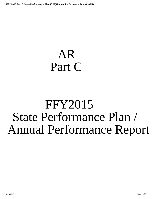# <span id="page-0-0"></span>AR Part C

# FFY2015 State Performance Plan / Annual Performance Report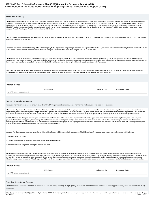# **Introduction to the State Performance Plan (SPP)/Annual Performance Report (APR) FFY 2015 Part C State Performance Plan (SPP)/Annual Performance Report (APR)**

| <b>Executive Summary:</b>                                                                                                                                                                                                                                                                                                                                                                                                                                                                                                                                                                                                                                                                                                                                                                                                                                                                                                                                                                              |                                            |
|--------------------------------------------------------------------------------------------------------------------------------------------------------------------------------------------------------------------------------------------------------------------------------------------------------------------------------------------------------------------------------------------------------------------------------------------------------------------------------------------------------------------------------------------------------------------------------------------------------------------------------------------------------------------------------------------------------------------------------------------------------------------------------------------------------------------------------------------------------------------------------------------------------------------------------------------------------------------------------------------------------|--------------------------------------------|
|                                                                                                                                                                                                                                                                                                                                                                                                                                                                                                                                                                                                                                                                                                                                                                                                                                                                                                                                                                                                        |                                            |
| The Office of Special Education Programs (OSEP) instructs each state that receives Part C funding to develop a State Performance Plan (SPP) to evaluate its efforts in implementing the requirements of the Individuals with<br>Disabilities Education Act (IDEA). Also, on a yearly basis each state is required to report on its efforts in the Annual Performance Report (APR). The state must report on 11 SPP\APR indicators, the first ten indicators<br>include baseline data and rigorous targets. OSEP sets compliance indicators targets at 100%, while states are allowed to set their own targets for each results indicator. Indicator 11, the State Systemic Improvement<br>Plan(SSIP) is a five year plan developed to improve the quality of early intervention services provided to infants and toddlers and their families through the Part C system. The SSIP is comprised of three phases: Phase I-<br>Analysis, Phase II- Planning, and Phase III- Implementation and Evaluation. |                                            |
| This SPP/APR covers Federal Fiscal Year (FFY) 2015, reporting on data from State Fiscal Year 2015 (July 1,2015 through June 30,2016). SPP/APR Part C Indicators 1-10 must be submitted February 2, 2017 and Phase III<br>of the SSIP(Indicator 11) on April 3, 2017.                                                                                                                                                                                                                                                                                                                                                                                                                                                                                                                                                                                                                                                                                                                                   |                                            |
| Arkansas's Department of Human Services (ADHS) is the lead agency for the implemention and planning of the federal Part C grant. Within the ADHS, the Division of Developmental Disability Services, is responsible for the<br>supervision of activities related to the administration of the Part C program. First Connections is the official program name for Arkansas Part C.                                                                                                                                                                                                                                                                                                                                                                                                                                                                                                                                                                                                                      |                                            |
| The First Connections program has five individual, interactive units responsible for system development. Part C Program Units are as follows: Data Management, Comprehensive System of Professional Development<br>Management, Fiscal Mangement, Quality Assurance/Monitoring, Licensure and Certification Mangement and Program Management. Personnel within each unit develops, analyzes, coordinates and reviews all facets of the<br>Part C system to ensure that Arkansas Early Intervention Service(AEIS) providers and agency staff comply with federal regulations and state policy/procedures.                                                                                                                                                                                                                                                                                                                                                                                                |                                            |
| ADHS has Voucher Agreements with local independent programs to provide supports/services on behalf of the Part C program. The work of the First Connection program is guided by a general supervision system that<br>supports EIS providers through targeted technical assistance and training and by program administrative oversite to ensure compliance with federal and state policies.                                                                                                                                                                                                                                                                                                                                                                                                                                                                                                                                                                                                            |                                            |
| Attachments                                                                                                                                                                                                                                                                                                                                                                                                                                                                                                                                                                                                                                                                                                                                                                                                                                                                                                                                                                                            |                                            |
| <b>File Name</b>                                                                                                                                                                                                                                                                                                                                                                                                                                                                                                                                                                                                                                                                                                                                                                                                                                                                                                                                                                                       | <b>Uploaded By</b><br><b>Uploaded Date</b> |
| No APR attachments found.                                                                                                                                                                                                                                                                                                                                                                                                                                                                                                                                                                                                                                                                                                                                                                                                                                                                                                                                                                              |                                            |
| <b>General Supervision System:</b><br>The systems that are in place to ensure that IDEA Part C requirements are met, e.g., monitoring systems, dispute resolution systems.                                                                                                                                                                                                                                                                                                                                                                                                                                                                                                                                                                                                                                                                                                                                                                                                                             |                                            |
| The Arkansas Department of Human Services, Division of Developmental Disability Services, as the lead agency is responsible for the administration of the Part C statewide comprehensive program. Arkansas' General<br>Supervision System is comprised of policies and procedures that align with Part C requirements to ensure that Arkansas Early Intervention Service(AEIS) programs meet federal and state requirements. First Connections<br>has a Quality Assurance/Monitoring Unit that is responsible for monitoring progress and providing oversight to ensure local program compliance with policies and procedures as required in the program manual.                                                                                                                                                                                                                                                                                                                                       |                                            |
| In 2015, Arkansas' Part C program received approval of the revised First Connections Policy Manual. Lead Agency staff, distributed the approved policy to all AEIS providers clarifying the changes to assist and guide<br>programs. During the reporting period, the monitoring staff used the Comprehensive Data System (CDS) to review child records to ensure compliance with timelines and other program requirements. As part of the<br>monitoring process, all AEIS providers received an extensive review of of their files, while, programs with ongoing concerns receive onsite visits as needed. Monitoring data described in the APR were acquired through the<br>CDS, from desk audits, in addition to interviews from staff of selected local programs.                                                                                                                                                                                                                                  |                                            |
| Arkansas Part C conducts several annual general supervision activities for each AEIS to monitor the implementation of the IDEA and identify possible areas of noncompliance. The annual activities include:                                                                                                                                                                                                                                                                                                                                                                                                                                                                                                                                                                                                                                                                                                                                                                                            |                                            |
| *Public Reporting of APR data                                                                                                                                                                                                                                                                                                                                                                                                                                                                                                                                                                                                                                                                                                                                                                                                                                                                                                                                                                          |                                            |
| *Collection and verification of data for the SPP\APR compliance and results indicators                                                                                                                                                                                                                                                                                                                                                                                                                                                                                                                                                                                                                                                                                                                                                                                                                                                                                                                 |                                            |
| *Determination for local programs in meeting the requirements of IDEA                                                                                                                                                                                                                                                                                                                                                                                                                                                                                                                                                                                                                                                                                                                                                                                                                                                                                                                                  |                                            |
| Additional tools were developed by Adminstrative staff to assist the monitoring unit in performing an in-depth assessment of the AEIS programs records. Monitioring staff also conduct other activites that aid in program<br>improvement. These activites include fiscal monitoring that addresses the use of federal funds as well as the timeliness and accuracy of billing. The monitoring unit uses other available materials to ensure that local prog<br>are provided the most up-to-date information to assist with improving overall program performance. Intensive or targeted activities are implemented to provide additional support to programs when issues or concerns are<br>identified through monitoring process. FC staff may require AEIS providers to participate in specific professional development activities to support their efforts which improve results for infants, toddlers and their famil                                                                            |                                            |
| <b>Attachments</b>                                                                                                                                                                                                                                                                                                                                                                                                                                                                                                                                                                                                                                                                                                                                                                                                                                                                                                                                                                                     |                                            |
| <b>File Name</b><br>No APR attachments found.                                                                                                                                                                                                                                                                                                                                                                                                                                                                                                                                                                                                                                                                                                                                                                                                                                                                                                                                                          | <b>Uploaded By</b><br><b>Uploaded Date</b> |
|                                                                                                                                                                                                                                                                                                                                                                                                                                                                                                                                                                                                                                                                                                                                                                                                                                                                                                                                                                                                        |                                            |
| <b>Technical Assistance System:</b>                                                                                                                                                                                                                                                                                                                                                                                                                                                                                                                                                                                                                                                                                                                                                                                                                                                                                                                                                                    |                                            |

The mechanisms that the State has in place to ensure the timely delivery of high quality, evidenced based technical assistance and support to early intervention service (EIS) programs.

First Connections (Arkansas' Part C) staff from multiple units, i.e. CSPD, QA/Monitoring, Data, Fiscal, and program management work collaboratively to provide ongoing Technical Assistance to service coordinators, local<br>8/2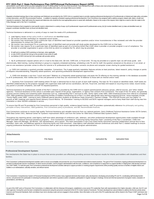FFY 2015 Part C State Performance Plan (SPP)/Annual Performance Report (APR)<br>administrators, and El direct service providers (altogether termed "El professionals" for the rest of this document). Team members from each of t program data to identify strengths and needs, to assist in creating quality action plans, and assign follow up as needed.

Regularly scheduled trainings (face to face workshops and Webinars) are provided by the CSPD Unit on a quarterly basis to provide ongoing professional development to EI professionals on federal and state policy, principles of early intervention, and DEC Recommended Practices. In addition to regularly scheduled ongoing professional development, First Connections has assigned staff to address program related calls, letters, emails and requests for assistance. State staff review the request and determine who would be the most appropriate person to assist with clarification. Based on the scope of the request, there might be a need to refer the matter to t Policy Manager and/ or the Part C Coordinator.

Technical Assistance that is targeted to meet specific needs is determined in a variety of ways: (a) EI professionals' request and EI professionals survey; (b) QA monitor identified need; (c) data unit identified need; (d) program coordinator identified need; (e) fiscal unit identified need.

Technical Assistance is delivered in a variety of ways to meet the needs of EI professionals:

- a. Lead Agency issues written policy briefs or clarifications on identified issues.
- b. QA monitor provides clarification on requested record review.
- c. QA monitor may recommend TA on a particular topic of identified need (based on provider questions and/or minor inconsistencies in files reviewed) and refer the provider administration to contact the CSPD Unit.
- d. QA monitor may recommend TA on a particular topic of identified need and provide self-study guides developed by the CSPD Unit on that topic.
- e. QA monitor may require TA on a particular topic of identified need as part of a Corrective Action Plan (CAP) when a provider or provider program is out of compliance. The provider or provider organization is given a time limit by which to complete the TA, which may be provided:
- 1. EI staff sent to existing CSPD workshop on that topic, when applicable
- 2. on site (CSPD Unit and QA Unit go to the provider to train entire EI staff)
- 3. via Webinar (CSPD Unit and QA Unit coordinate with provider admin)

 f. By EI professional's request (phone call or e-mail to the Data Unit, QA Unit, CSPD Unit, or Fiscal Unit). TA may be provided on a specific topic via self-study guide sent electronically, Web training, routing individual or group to a regularly scheduled workshop, scheduling a site TA visit for staff, the question answered on the phone or in an email, or one-on-one assistance (provider comes to office for tutorial or EI professional and TA provider connects via phone and computer screen sharing for guided assistance).

 g. CSPD Unit maintains a quarterly provider newsletter, *Connections*. The 4-page quarterly newsletter features articles on best practices, latest research, policy changes or points of frequent misunderstanding, frequently asked questions, and upcoming professional development opportunities.

h. CSPD Unit develops a one-hour "Lunch and Learn" Webinar on a frequently asked question/topic and posts the TA offering on the training calendar in the database accessible to all EI professionals, then notifies each of the unit personnel so that they can recommend the TA Webinar to those with an interest and/or need.

 i. Quarterly First Connections' staff meeting where TA topic is delivered face to face as part of each staff meeting. The topic for TA is based on identified needs. Staff needs are identified collaboratively by the program manager who supervises state staff service coordinators, QA Unit, Fiscal Unit, and Data Unit based on recurring errors noted, record review, any parent or provider complaints, and staff TA requests/questions.

Technical Assistance for professionals outside of the Part C network is provided by the CSPD Unit to support parents/parent advocacy groups, referral sources, and "other related agencies." Technical Assistance of this nature is provided upon request of the group, organization, or agency that contacts First Connections. The scope of this TA varies, but generally<br>revolves around creating and sustain IFSP, IDEA guidelines/requirements around supporting families of toddlers transitioning out of Part C to other appropriate early learning programs/services. Some examples include: "Family Rights under IDEA", training to early childhood special education students at Henderson State University's Teachers College; "The IFSP/IEP Process and Your Rights" to parents at ARC meetings and regional Parent Advisory Council Bistros; "EI Orientation" training to DCCECE and DCFS regional managers and to Early Head Start staff during new hire orientation or other HS/EHS scheduled in-service.

To ensure that PD and TA provided by First Connections personnel is high-quality, evidence-based training, staff TA providers systematically reference the philosophy and guiding principles of Early Intervention, IDEA guidelines, First Connections policy & procedures, and DEC Recommended Practices.

First Connections continues to receive high quality Technical Assistance and valuable resources from our national partners: Farly Childhood Technical Assistance Center (FCTA Center), IDEA Data Center (IDC), National Center for Systemic Improvement (NCSI) and from the Center for IDEA Early Childhood Data Systems (DaSY).

Throughout the reporting period, Lead Agency staff have taken advantage of conference calls, webinars, and other professional development opportunities made available through OSEP and OSEP national technical assistance programs. First Connections assembled an "Improving Family Outcomes Team" consisting of the Part C Coordinator, CSPD Unit<br>Manager, Data Unit Manager, QA Monitor, IHE representati workdays, team calls, and Webinars geared to improving family and child outcomes). Lead Agency staff attended national conferences and other Part C-related meetings to ensure ongoing professional development for First Connections staff as well as to ensure appropriate program administration.

### **Attachments**

**File Name Uploaded By Uploaded Date**

No APR attachments found.

### **Professional Development System:**

The mechanisms the State has in place to ensure that service providers are effectively providing services that improve results for infants and toddlers with disabilities and their families.

First Connections' professional development activities seek to ensure accountability and promote the use of recommended and evidence-based practices. The goal of First Connections ongoing professional development is to provide El professionals (service coordinators, El direct service providers, and El program administration) with the tools, confidence, and competence to equip them to support families in helping their child develop and le (our SSIP SiMR). To meet this goal, First Connections professional development activities attempt to support providers in meeting program requirements while providing quality services to families of eligible infants and toddlers in an individualized, culturally sensitive, and ethical manner.

First Connections' Comprehensive System of Personnel Development (CSPD) involves many organized elements that include: policy development, developing and providing PD and TA, coordinating staff development/inservice, unit personnel who participate in reviewing EI professionals' (and others') questions and/or complaints, participation in regular manager's meetings, formal and informal assessment of program needs, evaluation of presentations, and follow-up.

As part of the SSIP work on Personnel, First Connections, in collaboration with the Arkansas 619 program, established a cross-sector PD Leadership Team with representatives from higher education, child care, the ICC and other agencies. During this cycle the team completed the assessment using the personnel component of the ECTA Center Systems Framework. The team developed two subcommittees to address the first two priority areas: Inservice and Personnel Standards. Both committees have met to develop a plan and are engaged in those activities. More information on the work of the PD Leadership team will be shared in the Phase 3 SSIP submission due 8/20/2018 Page 3 of 35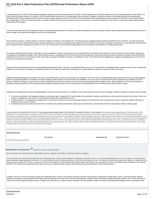In this reporting year, the CSPD Unit staff completed certification training to become Powerful Interactions (PI) Trainers. Powerful Interactions is a method for effective peer to peer coaching developed by Judy Jablon, Am Laura Dumbro, and Shaun Johnsen. As PI trainers, CSPD Unit staff members have access to "coaching raining" videos and other PI materials to support the provision of coaching/mentoring as on-site professional development and/or Technical Assistance that the unit has not previously been equipped to provide. The CSPD unit has prioritized their initial coaching efforts to provide support to the staff of the four local implementati sites. Additionally, the CSPD Unit can train El providers in principles of effective peer coaching so that they can serve as peer mentors to coworkers and effectively "coach" parents on home visits to better support parent implementing IFSP strategies.

To serve the entire state network of El professionals, however, most professional development (or "training") is provided via traditional face to face workshops, Webinars, guided individual tutorials (connected by phone an screen sharing), phone/chat/email consultation and Q/A, and self-study guides.

First Connections maintains a "training calendar" on the Part C database accessible to all EI Professionals. The training calendar is updated quarterly and lists all scheduled PD and TA offerings. The Data Unit provides bi-annual (or more often as needed) "train the trainer" interactive workshops on using the Comprehensive Data System (CDS) so that staff from each provider organization can attend the two day certification workshop and go back to support their staff in appropriate use of the CDS. The CSPD Unit provides the other scheduled trainings (both face to face workshops and Webinars) on a rotating quarterly basis.

The regularly scheduled trainings include: EI orientation, procedural safeguards, transition, best practices in case management/service coordination, best practices for intake, natural environment practices, appointing a "surrogate parent" (educational surrogate), OSEP child and family outcomes, completing the First Connections Child & Family Assessment, using results of family assessment to develop a functional, family-centered IFSP, writing functional outcomes, prior authorization (fiscal), report writing, evaluation interpretation, teamwork in completing the COSF, IFSP development (and update/review), targeting and retargeting goals on the IFSP, and procedures for meeting exit requirements.

Ongoing professional development courses are revised/updated periodically when there is: (a) report of an identified need from one or more units that needs to be addressed within a particular topic; (b) state or federal po changes; (c) new information is obtained on principles/best practices from a national TA partner, from attending a Part C-related Webinar or conference, and/or from CSPD Unit research.

Additional professional development and targeted "TA" topics are also offered either on site to EI provider staff or as TA Webinars. PD and TA needs are identified collaboratively by personnel from each unit working togeth and from EI professional feedback. In bi-weekly unit Manager's Meetings, data is reviewed and issues that have been identified in one or more units are discussed with the team to guide planning of additional PD and TA offerings. Targeted TA Webinars ("Lunch and Learn") may be presented by the CSPD Unit or by personnel from the Unit most closely aligned with the targeted TA topic. After presentation, Lunch and Learn Webinars are developed into self-study guides by CSPD Unit staff and made available to personnel of other units who can send them to EI professionals who have an interest and/or need for this type of support.

Feedback from El professionals who have attended/participated in either a face to face workshop or a TA Webinar is used to inform planning of future PD and TA offerings. Feedback is obtained in a variety of ways that inclu

- 1. for face to face workshops: each participant completes an anonymous paper "evaluation form" to rate the quality of the presentation, materials, and information as well as rate the usefulness of the training. The form ha a space for suggestions as well as space for the participant to identify other desired/needed PD or TA.
- for Web-based PD or TA: participants are emailed a link to a brief, anonymous online survey where they provide feedback on the effectiveness of the TA training and can type in a request for additional information or 2. additional TA topics of need or interest.
- 3. EI professional anonymous online survey where those who take the survey identify what information and/or topic they self-identify as a need and their preferred mode (workshop, Webinar, self-study guide).

To ensure that First Connections' (FC) PD and TA is high-quality, evidence-based training, CSPD staff and TA providers from other FC units reference the philosophy and guiding principles of Early Intervention, IDEA guidelines, First Connections policy & procedures, and DEC Recommended Practices in all training materials, QA sessions/discussions, and written responses to inquiries. CSPD Unit staff is supported by program administration in maintaining their own professional development in order to stay abreast of current trends in the field of early learningearly intervention; staff is provided current literature on routines-based intervent environment principles, family engagement, and coaching/consultative approaches in EI. CSPD staff is trained both in principles of adult learning as well as principles of peer to peer coaching. All PD and TA workshops and Webinars include a combination of lecture (with visual representations in the form of screen shots, diagrams, graphs, videos), reflective activities and/or self-assessment, discussion, and "putting it into practice" applic activities to support adult learning. Workshops and Webinars provide those in attendance with "take away" handouts, copies of slides, and additional information to supplement what was presented and to provide more in-depth information that what could be covered in a short amount of time together.

**Attachments**

**File Name Uploaded By Uploaded Date**

No APR attachments found.

**Stakeholder Involvement:** apply this to all Part C results indicators

The mechanism for soliciting broad stakeholder input on targets in the SPP, including revisions to targets.

The Annual Performance Report was developed with broad stakeholder input. Arkansas' State Interagency Coordinating Council (AICC) serves as the primary stakeholder group for the Part C program, providing continuous input and guidance regarding program development. The council members are given multiple opportunities to share their input thoughout the year. Lead Agency personnel share programmatic updates on a regularly basis via email and at each quarterly AICC meeting . An overview of the APR is presented to the members along with summary data for each indicator. Also as requested, the AICC has provided support and guidance on the agencies SPP/APR, SIPP, professional development activities, data requirements, monitoring activities, program improvements and local Early Intervention Service Program position.

In addition to the AICC, the First Connections program also collaborated with a number of critical partners during the 2015-2016 reporting period. Stakeholders included partners such as: Arkansas Medicaid, Arkansas Department of Education, Arkansas Department of Health, Arkansas Head Start Association, Human Services Personell Office, Arkansas School for the Deaf, local Early Intervention Providers, Zero to Three the Division of Child Care and Early Childhood Education, Division of Children and Family Services , Quality Assurance Committee, Arkansas Disability Coalition and Division of Developmental Disabilities Services Administrative Staff .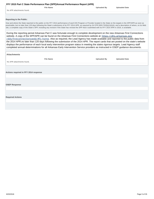<span id="page-4-0"></span>

|                           | <b>File Name</b> | <b>Uploaded By</b> | <b>Uploaded Date</b> |
|---------------------------|------------------|--------------------|----------------------|
| No APR attachments found. |                  |                    |                      |

### **Reporting to the Public:**

How and where the State reported to the public on the FFY 2014 performance of each EIS Program or Provider located in the State on the targets in the SPP/APR as soon as practicable, but no later than 120 days following the State's submission of its FFY 2014 APR, as required by 34 CFR §303.702(b)(1)(i)(A); and a description of where, on its Web site, a complete copy of the State's SPP, including any revision if the State has revised the SPP that it submitted with its FFY 2014 APR in 2016, is available.

During the reporting period Arkansas Part C was fortunate enough to complete development on the new Arkansas First Connections website. A copy of the SPP/APR can be found on the Arkansas First Connections website at: https://dhs.arkansas.gov /dds/firstconnectionsweb/#fc-home. Also as required, the Lead Agency has made available and reported to the public data from the 2014 APR,no later than 120 days following the submission of the 2014 APR. The report cards that are posted on the state's website displays the performance of each local early intervention program status in meeting the states rigorous targets. Lead Agency staff completed annual determinations for all Arkansas Early Intervention Service providers as instructed in OSEP guidance documents.

| <b>Attachments</b>                    |                    |                      |
|---------------------------------------|--------------------|----------------------|
| <b>File Name</b>                      | <b>Uploaded By</b> | <b>Uploaded Date</b> |
| No APR attachments found.             |                    |                      |
|                                       |                    |                      |
|                                       |                    |                      |
| Actions required in FFY 2014 response |                    |                      |
|                                       |                    |                      |
|                                       |                    |                      |
| <b>OSEP Response</b>                  |                    |                      |
|                                       |                    |                      |
|                                       |                    |                      |
|                                       |                    |                      |
| <b>Required Actions</b>               |                    |                      |
|                                       |                    |                      |
|                                       |                    |                      |
|                                       |                    |                      |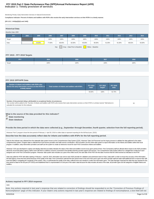# **Indicator 1: Timely provision of services FFY 2015 Part C State Performance Plan (SPP)/Annual Performance Report (APR)**

Monitoring Priority: Early Intervention Services In Natural Environments

**Compliance indicator: Percent of infants and toddlers with IFSPs who receive the early intervention services on their IFSPs in a timely manner.**

### **(20 U.S.C. 1416(a)(3)(A) and 1442)**

| <b>Historical Data</b>                                     |      |        |        |        |        |        |        |        |        |        |        |
|------------------------------------------------------------|------|--------|--------|--------|--------|--------|--------|--------|--------|--------|--------|
| Baseline Data: 2005                                        |      |        |        |        |        |        |        |        |        |        |        |
| <b>FFY</b>                                                 | 2004 | 2005   | 2006   | 2007   | 2008   | 2009   | 2010   | 2011   | 2012   | 2013   | 2014   |
| Target                                                     |      |        | 100%   | 100%   | 100%   | 100%   | 100%   | 100%   | 100%   | 100%   | 100%   |
| Data                                                       |      | 94.90% | 77.00% | 88.40% | 82.00% | 95.00% | 90.00% | 91.00% | 91.00% | 88.52% | 93.00% |
| Gray - Data Prior to Baseline<br>Yellow - Baseline<br>Key: |      |        |        |        |        |        |        |        |        |        |        |

### **FFY 2015 - FFY 2018 Targets**

| FFY    | 2015 | 2016 | 2017 | 2018 |
|--------|------|------|------|------|
| Target | 100% | 100% | 100% | 100% |
|        |      |      |      |      |

### **FFY 2015 SPP/APR Data**

| Number of infants and toddlers with IFSPs who<br>receive the early intervention services on their IFSPs in<br>a timely manner | Total number of infants and toddlers with IFSPs | <b>FFY 2014</b><br>Data* | <b>FFY 2015</b><br>Target* | <b>FFY 2015</b><br><b>Data</b> |
|-------------------------------------------------------------------------------------------------------------------------------|-------------------------------------------------|--------------------------|----------------------------|--------------------------------|
|                                                                                                                               |                                                 | 93.00%                   | 100%                       | 92.70%                         |

| Number of documented delays attributable to exceptional family circumstances                                                                                                |  |
|-----------------------------------------------------------------------------------------------------------------------------------------------------------------------------|--|
| This number will be added to the "Number of infants and toddlers with IFSPs who receive their early intervention services on their IFSPs in a timely manner" field above to |  |
| calculate the numerator for this indicator.                                                                                                                                 |  |

**What is the source of the data provided for this indicator?**

- **C** State monitoring
- **State database**

### **Provide the time period in which the data were collected (e.g., September through December, fourth quarter, selection from the full reporting period).**

Arkansas' Part C program chose the time period of February 1- April 30, 2016 to collect data to represent reporting for the full fiscal year. (2015)

**Describe how the data accurately reflect data for infants and toddlers with IFSPs for the full reporting period.**

Data for this indicator was collected from the statewide data system known as the Comprehensive Data System (CDS). Arkansas' Data Unit Personnel use the inquiry process to validate the data gathered in the states comprehensive system. Program data is collected from local service providers and state service coordinators. AEIS providers use the online data system to report information on the infants and toddlers within their local program. In addition, early intervention providers and staff use the system to create an electronic record for each First Connections infants and toddlers.

Arkansas' CDS was developed to capture and display data that accurately indicates the status of the infant and toddlers record at any given period of time. First Connections staff are allowed direct means to the AEIS provi electronic record that allows agency staff to work with them to address concerns connected to the families that they provide support and services. The Comprehesive Data System allows for a straight flow of data from each assigned user to the First Connections program. Arkansas' data system also includes as a part of the childs record, the start date of the IFSP, the first date of service that the child received as indicated on the IFSP.

Data was pulled for IFSP with dates starting a February 1- April 30, 2016, information was sent to each AEIS provider for validation and submission back to Part C data staff. In order to ensure the accuracy of the informat the lead agency chose this time period because of the quality of the data. First Connections selected the time period close to the end of the year to give new AEIS provider staff and state staff additional time to improve level and ability in navigating the complexity of the system. Also, to authenticate the quality of the data; sufficient time was needed to confirm the information given. The Data Manager inspected the data that was reporte time period to data for the full year (FFY2015) and established that it is representative of a full year of the state's data because the data includes all areas of the state, all provider types and all categories of eligib toddlers.

### **Actions required in FFY 2014 response**

### none

Note: Any actions required in last year's response that are related to correction of findings should be responded to on the "Correction of Previous Findings of Noncompliance" page of this indicator. If your State's only actions required in last year's response are related to findings of noncompliance, a text field will not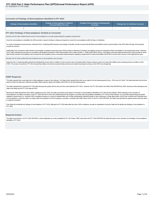### <span id="page-6-0"></span>**Correction of Findings of Noncompliance Identified in FFY 2014**

| <b>Findings of Noncompliance Verified as</b><br><b>Findings of Noncompliance Identified</b><br>Corrected Within One Year |  | <b>Findings of Noncompliance Subsequently</b><br>Corrected | Findings Not Yet Verified as Corrected |  |  |
|--------------------------------------------------------------------------------------------------------------------------|--|------------------------------------------------------------|----------------------------------------|--|--|
|                                                                                                                          |  |                                                            |                                        |  |  |

### **FFY 2014 Findings of Noncompliance Verified as Corrected**

Describe how the State verified that the source of noncompliance is correctly implementing the regulatory requirements

Once the noncompliance is identified, the AEIS provider is issued a finding in writing and required to correct the noncompliance within 90 days of notification.

As a part of subsequent review process, Arkansas Part C monitoring staff reviewed a percentage of provider records to ensure that all infants and toddlers receive services listed on the IFSP within 30 days of the parental consent for services.

Additionally, First Connections staff reviewed a percentage of updated records from each AEIS provider to determine if providers are initiating services of subsequent infants and toddlers in the required time frame. Arkans Part C staff conducted this procedure in accordance with guidance provided in OSEP Memorandum 09-02, dated October 17, 2008 (OSEP Memo 09-02). Lead Agency personnel determined that each AEIS provider for whom data formerly showed noncompliance has corrected the noncompliance and is correctively implementing the regulatory requirement for infants and toddlers with IFSPs to receive their services in the required time frame.

Describe how the State verified that each individual case of noncompliance was corrected

Arkansas Part C monitoring staff examined the individual file of each infant or toddler for whom services were not started within 30 days of parent consent; to ensure that children were receiving services as written on the IFSP's. The review of records for FFY 2014 showed that children who had not received timely services were indeed receiving the services on the IFSP, even though late.

### **OSEP Response**

The State reported that it used data from a State database to report on this indicator. The State further reported that it did not use data for the full reporting period (July 1, 2015-June 30, 2016). The State described ho period in which the data were collected accurately reflects data for infants and toddlers with IFSPs for the full reporting period.

The State reported that it revised its FFY 2014 data because the system did not carry over the correct data from FFY 2014. However, the FFY 2014 data in the State's final SPP/APR are 100%. Because of this discrepancy, the State must clarify why its FFY 2014 data are 93%.

Because the State reported less than 100% compliance for FFY 2015, the State must report on the status of correction of noncompliance identified in FFY 2015 for this indicator. When reporting on the correction of noncompliance, the State must report, in the FFY 2016 SPP/APR, that it has verified that each EIS program or provider with noncompliance identified in FFY 2015 for this indicator: (1) is correctly implementing the specific regulatory requirements (i.e., achieved 100% compliance) based on a review of updated data such as data subsequently collected through on-site monitoring or a State data system; and (2) has corrected each individual case of noncompliance, unless the child is no longer within the jurisdiction of the EIS program or provider, consistent with OSEP Memo 09-02. In the FFY 2016 SPP/APR, the State must describe the specific actions that were taken to verify the correction.

If the State did not identify any findings of noncompliance in FFY 2015, although its FFY 2015 data reflect less than 100% compliance, provide an explanation of why the State did not identify any findings of noncompliance FFY 2015.

### **Required Actions**

The State must provide, in its FFY 2016 SPP/APR, a clear explanation as to why it updated its FFY 2014 data. OSEP notes that in the FFY 2015 SPP/APR the State did report on the correction of six findings of noncompliance identified in FFY 2014.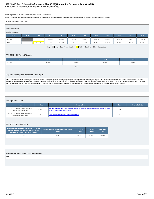# **Indicator 2: Services in Natural Environments FFY 2015 Part C State Performance Plan (SPP)/Annual Performance Report (APR)**

Monitoring Priority: Early Intervention Services In Natural Environments

**Results indicator: Percent of infants and toddlers with IFSPs who primarily receive early intervention services in the home or community-based settings.**

### **(20 U.S.C. 1416(a)(3)(A) and 1442)**

| <b>Historical Data</b><br>Baseline Data: 2005                                    |      |        |        |        |        |        |        |        |        |        |        |
|----------------------------------------------------------------------------------|------|--------|--------|--------|--------|--------|--------|--------|--------|--------|--------|
| <b>FFY</b>                                                                       | 2004 | 2005   | 2006   | 2007   | 2008   | 2009   | 2010   | 2011   | 2012   | 2013   | 2014   |
| Target $\geq$                                                                    |      |        | 64.00% | 68.00% | 70.00% | 72.00% | 45.50% | 45.75% | 46.00% | 70.00% | 73.00% |
| Data                                                                             |      | 62.95% | 52.72% | 46.00% | 42.00% | 45.00% | 38.00% | 32.00% | 33.00% | 74.38% | 74.48% |
| Gray - Data Prior to Baseline<br>Key:<br>Yellow - Baseline<br>Blue - Data Update |      |        |        |        |        |        |        |        |        |        |        |

# **FFY 2015 - FFY 2018 Targets**

| <b>FFY</b>    | 2015   | 2016   | 2017   | 2018   |
|---------------|--------|--------|--------|--------|
| Target $\geq$ | 76.00% | 79.00% | 82.00% | 85.00% |
|               |        | Key:   |        |        |

# **Targets: Description of Stakeholder Input**

First Connections staff provided program updates to the AICC during the quarterly meetings regarding the state's progress in achieving set targets. First Connections staff continue to worked in collaboration with other partners to: deliver services to infants and toddlers in the natural environment, to provide supports to families to help them support their children's development and to develop resources to support programs. Also, throug the year, Arkansas staff provided opportunities for the ICC to provide input to the program, including revising and/or updating improvement strategies and reviewing program data if required.

### **Prepopulated Data**

| <b>Source</b>                                                        | <b>Date</b> | <b>Description</b>                                                                                                                     | <b>Data</b> | <b>Overwrite Data</b> |
|----------------------------------------------------------------------|-------------|----------------------------------------------------------------------------------------------------------------------------------------|-------------|-----------------------|
| SY 2015-16 Child Count/Educational<br><b>Environment Data Groups</b> | 7/14/2016   | Number of infants and toddlers with IFSPs who primarily receive early intervention services in the<br>home or community-based settings | 1,508       |                       |
| SY 2015-16 Child Count/Educational<br><b>Environment Data Groups</b> | 7/14/2016   | Total number of infants and toddlers with IFSPs                                                                                        | 1,977       |                       |

# **FFY 2015 SPP/APR Data**

| Number of infants and toddlers with IFSPs who<br>primarily receive early intervention services in<br>the home or community-based settings | Total number of infants and toddlers with<br><b>IFSPs</b> | <b>FFY 2014</b><br>Data* | <b>FFY 2015</b><br>Target* | <b>FFY 2015</b><br>Data |
|-------------------------------------------------------------------------------------------------------------------------------------------|-----------------------------------------------------------|--------------------------|----------------------------|-------------------------|
| 1.508                                                                                                                                     | 1.977                                                     | 74.48%                   | 76.00%                     | 76.28%                  |

### **Actions required in FFY 2014 response**

none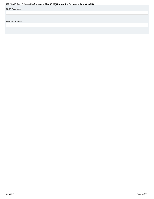<span id="page-8-0"></span>

|                         | Fr T ZUIS Part G State Performance Plan (SPP)/Annual Performance Report (APR) |  |  |
|-------------------------|-------------------------------------------------------------------------------|--|--|
| <b>OSEP Response</b>    |                                                                               |  |  |
|                         |                                                                               |  |  |
|                         |                                                                               |  |  |
| <b>Required Actions</b> |                                                                               |  |  |
|                         |                                                                               |  |  |
|                         |                                                                               |  |  |
|                         |                                                                               |  |  |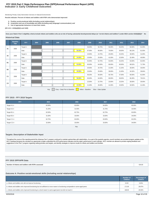# **Indicator 3: Early Childhood Outcomes FFY 2015 Part C State Performance Plan (SPP)/Annual Performance Report (APR)**

Monitoring Priority: Early Intervention Services In Natural Environments

**Results indicator: Percent of infants and toddlers with IFSPs who demonstrate improved:**

- 
- **A. Positive social-emotional skills (including social relationships); B. Acquisition and use of knowledge and skills (including early language/ communication); and**
- **C. Use of appropriate behaviors to meet their needs.**

**(20 U.S.C. 1416(a)(3)(A) and 1442)**

Does your State's Part C eligibility criteria include infants and toddlers who are at risk of having substantial developmental delays (or "at-risk infants and toddlers") under IDEA section 632(5)(B)(i)? No

# **Historical Data**

|                | <b>Baseline</b><br>Year                                                          | FFY           | 2004 | 2005 | 2006 | 2007 | 2008   | 2009   | 2010   | 2011   | 2012   | 2013   | 2014   |
|----------------|----------------------------------------------------------------------------------|---------------|------|------|------|------|--------|--------|--------|--------|--------|--------|--------|
| A <sub>1</sub> | 2008                                                                             | Target $\geq$ |      |      |      |      |        | 56.50% | 56.75% | 56.00% | 56.25% | 60.00% | 61.00% |
|                |                                                                                  | Data          |      |      |      |      | 56.00% | 67.00% | 66.00% | 70.00% | 59.00% | 68.13% | 81.93% |
| A2             | 2008                                                                             | Target $\geq$ |      |      |      |      |        | 24.50% | 24.75% | 25.00% | 25.25% | 30.00% | 31.00% |
|                |                                                                                  | Data          |      |      |      |      | 24.00% | 23.00% | 25.00% | 41.00% | 22.00% | 32.49% | 46.99% |
| <b>B1</b>      |                                                                                  | Target $\geq$ |      |      |      |      |        | 52.50% | 52.75% | 53.00% | 53.25% | 63.00% | 62.00% |
|                | 2008                                                                             | Data          |      |      |      |      | 53.00% | 65.00% | 64.00% | 69.00% | 60.00% | 68.52% | 71.79% |
| <b>B2</b>      | 2008                                                                             | Target $\geq$ |      |      |      |      |        | 20.50% | 20.75% | 21.00% | 21.25% | 28.00% | 30.00% |
|                |                                                                                  | Data          |      |      |      |      | 20.00% | 23.00% | 25.00% | 39.00% | 21.00% | 34.32% | 39.84% |
| C <sub>1</sub> |                                                                                  | Target $\geq$ |      |      |      |      |        | 56.25% | 56.50% | 56.75% | 57.00% | 60.00% | 61.00% |
|                | 2008                                                                             | Data          |      |      |      |      | 56.00% | 65.00% | 64.00% | 69.00% | 58.00% | 66.28% | 79.01% |
| C <sub>2</sub> |                                                                                  | Target $\geq$ |      |      |      |      |        | 22.50% | 22.75% | 23.00% | 23.25% | 28.00% | 30.00% |
|                | 2008                                                                             | Data          |      |      |      |      | 22.00% | 21.00% | 26.00% | 41.00% | 23.00% | 34.50% | 41.46% |
|                | Gray - Data Prior to Baseline<br>Yellow - Baseline<br>Blue - Data Update<br>Key: |               |      |      |      |      |        |        |        |        |        |        |        |

### **FFY 2015 - FFY 2018 Targets**

| <b>FFY</b>       | 2015   | 2016   | 2017   | 2018   |
|------------------|--------|--------|--------|--------|
| Target $A1 \geq$ | 62.00% | 63.00% | 64.00% | 65.00% |
| Target $A2 \geq$ | 31.25% | 31.50% | 31.75% | 32.00% |
| Target B1 $\geq$ | 62.50% | 62.75% | 62.75% | 63.00% |
| Target $B2 \geq$ | 31.00% | 33.00% | 33.00% | 34.00% |
| Target C1 $\geq$ | 62.75% | 63.00% | 63.00% | 63.25% |
| Target $C2 \geq$ | 32.00% | 33.00% | 33.00% | 34.00% |

Key:

### **Targets: Description of Stakeholder Input**

Throughout the course of the reporting period the Arkansas Part C program continued to maintain partnerships with stakeholders. As a part of the quarterly agenda, council members are provided program updates at the AICC meetings that gives the members an opportunity to better understand the APR performance indicators and the state's performance in each indicator. AICC member are allowed to provide ongoing feedback and suggestions to the Part C program regarding setting priorities and targets, and identify strategies to improve results for infants and toddlers and families.

### **FFY 2015 SPP/APR Data**

| and toddlers<br><b>Numbe</b><br>s with IFSPs<br>Ps assessed<br>tants and | JJ4.UU<br>. |
|--------------------------------------------------------------------------|-------------|

# **Outcome A: Positive social-emotional skills (including social relationships)**

|                                                                                                                                 | <b>Number of</b><br><b>Children</b> | Percentage of<br><b>Children</b> |
|---------------------------------------------------------------------------------------------------------------------------------|-------------------------------------|----------------------------------|
| a. Infants and toddlers who did not improve functioning                                                                         | 23.00                               | 3.63%                            |
| b. Infants and toddlers who improved functioning but not sufficient to move nearer to functioning comparable to same-aged peers | 171.00                              | 26.97%                           |
| c. Infants and toddlers who improved functioning to a level nearer to same-aged peers but did not reach it                      | 168.00                              | 26.50%                           |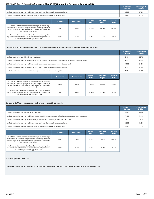|                                                                                                 | <b>Number of</b><br><b>Children</b> | Percentage of<br><b>Children</b> |
|-------------------------------------------------------------------------------------------------|-------------------------------------|----------------------------------|
| d. Infants and toddlers who improved functioning to reach a level comparable to same-aged peers | 182.00                              | 28.71%                           |
| e. Infants and toddlers who maintained functioning at a level comparable to same-aged peers     | 90.00                               | 14.20%                           |

|                                                                                                                                                                                                                                                  | <b>Numerator</b> | <b>Denominator</b> | <b>FFY 2014</b><br>Data* | <b>FFY 2015</b><br>Target* | <b>FFY 2015</b><br><b>Data</b> |
|--------------------------------------------------------------------------------------------------------------------------------------------------------------------------------------------------------------------------------------------------|------------------|--------------------|--------------------------|----------------------------|--------------------------------|
| A1. Of those children who entered or exited the program below age<br>expectations in Outcome A, the percent who substantially increased<br>their rate of growth by the time they turned 3 years of age or exited the<br>program (c+d)/(a+b+c+d). | 350.00           | 544.00             | 81.93%                   | 62.00%                     | 64.34%                         |
| A2. The percent of infants and toddlers who were functioning within<br>age expectations in Outcome A by the time they turned 3 years of age<br>or exited the program (d+e)/(a+b+c+d+e).                                                          | 272.00           | 634.00             | 46.99%                   | 31.25%                     | 42.90%                         |

# **Outcome B. Acquisition and use of knowledge and skills (including early language/ communication)**

|                                                                                                                                 | <b>Number of</b><br><b>Children</b> | Percentage of<br><b>Children</b> |
|---------------------------------------------------------------------------------------------------------------------------------|-------------------------------------|----------------------------------|
| a. Infants and toddlers who did not improve functioning                                                                         | 29.00                               | 4.57%                            |
| b. Infants and toddlers who improved functioning but not sufficient to move nearer to functioning comparable to same-aged peers | 164.00                              | 25.87%                           |
| c. Infants and toddlers who improved functioning to a level nearer to same-aged peers but did not reach it                      | 207.00                              | 32.65%                           |
| d. Infants and toddlers who improved functioning to reach a level comparable to same-aged peers                                 | 185.00                              | 29.18%                           |
| e. Infants and toddlers who maintained functioning at a level comparable to same-aged peers                                     | 49.00                               | 7.73%                            |

|                                                                                                                                                                                                                                                  | <b>Numerator</b> | <b>Denominator</b> | <b>FFY 2014</b><br>Data* | <b>FFY 2015</b><br>Target* | <b>FFY 2015</b><br><b>Data</b> |
|--------------------------------------------------------------------------------------------------------------------------------------------------------------------------------------------------------------------------------------------------|------------------|--------------------|--------------------------|----------------------------|--------------------------------|
| B1. Of those children who entered or exited the program below age<br>expectations in Outcome B, the percent who substantially increased<br>their rate of growth by the time they turned 3 years of age or exited the<br>program (c+d)/(a+b+c+d). | 392.00           | 585.00             | 71.79%                   | 62.50%                     | 67.01%                         |
| B2. The percent of infants and toddlers who were functioning within<br>age expectations in Outcome B by the time they turned 3 years of age<br>or exited the program (d+e)/(a+b+c+d+e).                                                          | 234.00           | 634.00             | 39.84%                   | 31.00%                     | 36.91%                         |

# **Outcome C: Use of appropriate behaviors to meet their needs**

|                                                                                                                                 | Number of<br><b>Children</b> | Percentage of<br><b>Children</b> |
|---------------------------------------------------------------------------------------------------------------------------------|------------------------------|----------------------------------|
| a. Infants and toddlers who did not improve functioning                                                                         | 16.00                        | 2.52%                            |
| b. Infants and toddlers who improved functioning but not sufficient to move nearer to functioning comparable to same-aged peers | 174.00                       | 27.44%                           |
| c. Infants and toddlers who improved functioning to a level nearer to same-aged peers but did not reach it                      | 175.00                       | 27.60%                           |
| d. Infants and toddlers who improved functioning to reach a level comparable to same-aged peers                                 | 191.00                       | 30.13%                           |
| e. Infants and toddlers who maintained functioning at a level comparable to same-aged peers                                     | 78.00                        | 12.30%                           |

|                                                                                                                                                                                                                                                  | Numerator | <b>Denominator</b> | <b>FFY 2014</b><br>Data* | <b>FFY 2015</b><br>Target* | <b>FFY 2015</b><br>Data |
|--------------------------------------------------------------------------------------------------------------------------------------------------------------------------------------------------------------------------------------------------|-----------|--------------------|--------------------------|----------------------------|-------------------------|
| C1. Of those children who entered or exited the program below age<br>expectations in Outcome C, the percent who substantially increased<br>their rate of growth by the time they turned 3 years of age or exited the<br>program (c+d)/(a+b+c+d). | 366.00    | 556.00             | 79.01%                   | 62.75%                     | 65.83%                  |
| C2. The percent of infants and toddlers who were functioning within<br>age expectations in Outcome C by the time they turned 3 years of age<br>or exited the program (d+e)/(a+b+c+d+e).                                                          | 269.00    | 634.00             | 41.46%                   | 32.00%                     | 42.43%                  |

**Was sampling used?** No

**Did you use the Early Childhood Outcomes Center (ECO) Child Outcomes Summary Form (COSF)?** Yes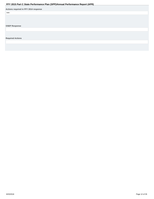<span id="page-11-0"></span>

|                                       | . . |  |
|---------------------------------------|-----|--|
| Actions required in FFY 2014 response |     |  |
| none                                  |     |  |
|                                       |     |  |
|                                       |     |  |
|                                       |     |  |
| <b>OSEP Response</b>                  |     |  |
|                                       |     |  |
|                                       |     |  |
|                                       |     |  |
| <b>Required Actions</b>               |     |  |
|                                       |     |  |
|                                       |     |  |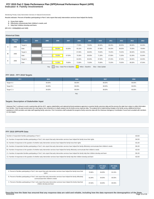# **Indicator 4: Family Involvement FFY 2015 Part C State Performance Plan (SPP)/Annual Performance Report (APR)**

Monitoring Priority: Early Intervention Services In Natural Environments

**Results indicator: Percent of families participating in Part C who report that early intervention services have helped the family:**

- **A. Know their rights;**
- **B. Effectively communicate their children's needs; and C. Help their children develop and learn.**

**(20 U.S.C. 1416(a)(3)(A) and 1442)**

### **Historical Data**

|   | <b>Baseline</b><br>Year                       | <b>FFY</b>    | 2004 | 2005 | 2006   | 2007   | 2008   | 2009   | 2010   | 2011   | 2012   | 2013   | 2014   |
|---|-----------------------------------------------|---------------|------|------|--------|--------|--------|--------|--------|--------|--------|--------|--------|
| A | 2006                                          | Target $\geq$ |      |      |        |        | 77.00% | 78.00% | 80.00% | 80.25% | 80.25% | 80.00% | 82.00% |
|   |                                               | Data          |      |      | 59.00% | 62.00% | 65.10% | 65.00% | 67.90% | 64.20% | 68.00% | 75.00% | 78.96% |
|   |                                               | Target $\geq$ |      |      |        |        | 67.00% | 68.00% | 70.00% | 70.25% | 70.25% | 80.00% | 82.00% |
| в | 2006                                          | Data          |      |      | 70.00% | 67.50% | 70.30% | 69.00% | 71.30% | 67.90% | 71.00% | 81.00% | 81.84% |
|   | 2006                                          | Target $\geq$ |      |      |        |        | 84.00% | 85.00% | 87.00% | 87.25% | 87.25% | 80.00% | 82.00% |
| c |                                               | Data          |      |      | 71.00% | 70.80% | 72.80% | 73.00% | 75.90% | 73.20% | 75.00% | 80.00% | 87.84% |
|   | <u>iva se se seu u</u><br><u>ulla sususul</u> |               |      |      |        |        |        |        |        |        |        |        |        |

Key: Gray – Data Prior to Baseline Yellow – Baseline Blue – Data Update

### **FFY 2015 - FFY 2018 Targets**

| <b>FFY</b>      | 2015   | 2016   | 2017   | 2018   |
|-----------------|--------|--------|--------|--------|
| Target $A \geq$ | 84.00% | 86.00% | 88.00% | 90.00% |
| Target $B \geq$ | 84.00% | 86.00% | 88.00% | 90.00% |
| Target C ≥      | 84.00% | 86.00% | 88.00% | 90.00% |

### Key:

### **Targets: Description of Stakeholder Input**

Arkansas Part C continues to work in partnership with the AICC, agency stakeholders and national technical assistance agencies to examine family outcomes data and the process the state has in place to collect information from families. Over the past several years the Lead Agency has conducted an in-depth analysis into the family survey response data. The analysis led to implementing changes is the family survey, additional technical assistance to AEIS providers and state staff regarding family outcomes. First Connections staff evaluated the programs family outcomes data with the Arkansas Interagency Coordination Council and consulted with members on new targets .

# **FFY 2015 SPP/APR Data**

| Number of respondent families participating in Part C                                                                                                                       | 423.00 |  |  |  |
|-----------------------------------------------------------------------------------------------------------------------------------------------------------------------------|--------|--|--|--|
| A1. Number of respondent families participating in Part C who report that early intervention services have helped the family know their rights                              | 342.00 |  |  |  |
| A2. Number of responses to the question of whether early intervention services have helped the family know their rights                                                     | 421.00 |  |  |  |
| B1. Number of respondent families participating in Part C who report that early intervention services have helped the family effectively communicate their children's needs |        |  |  |  |
| B2. Number of responses to the question of whether early intervention services have helped the family effectively communicate their children's needs                        | 422.00 |  |  |  |
| C1. Number of respondent families participating in Part C who report that early intervention services have helped the family help their children develop and learn          | 361.00 |  |  |  |
| C2. Number of responses to the question of whether early intervention services have helped the family help their children develop and learn                                 | 422.00 |  |  |  |

|                                                                                                                                                                     | <b>FFY 2014</b><br>Data* | <b>FFY 2015</b><br>Target* | <b>FFY 2015</b><br><b>Data</b> |
|---------------------------------------------------------------------------------------------------------------------------------------------------------------------|--------------------------|----------------------------|--------------------------------|
| A. Percent of families participating in Part C who report that early intervention services have helped the family know their<br>rights                              | 78.96%                   | 84.00%                     | 81.24%                         |
| B. Percent of families participating in Part C who report that early intervention services have helped the family effectively<br>communicate their children's needs | 81.84%                   | 84.00%                     | 85.55%                         |
| C. Percent of families participating in Part C who report that early intervention services have helped the family help their<br>children develop and learn          | 87.84%                   | 84.00%                     | 85.55%                         |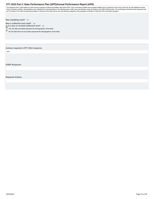<span id="page-13-0"></span>The Arkansas Part C staff mailed out 1200 surveys to parents of infants and toddlers with active IFSPs. First Connections families were provided multiple ways to response to the survey, hard copy via mail, telephone and th First Connections website. Demographics were collected from all respondents in the following areas: child's race and ethnicity, county of residence and child's AEIS provider. The Lead Agency received survey responses from all 75 counties in the state showing representation of all areas of the state and by race and ethnicity categories of the population of families in Arkansas First Connections program.

**Was sampling used?** No

**Was a collection tool used?** Yes

**Is it a new or revised collection tool?** No **Yes, the data accurately represent the demographics of the State**

**No, the data does not accurately represent the demographics of the State** 

# **Actions required in FFY 2014 response**

none

**OSEP Response**

**Required Actions**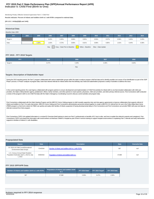# **Indicator 5: Child Find (Birth to One) FFY 2015 Part C State Performance Plan (SPP)/Annual Performance Report (APR)**

Monitoring Priority: Effective General Supervision Part C / Child Find

**Results indicator: Percent of infants and toddlers birth to 1 with IFSPs compared to national data.**

### **(20 U.S.C. 1416(a)(3)(B) and 1442)**

| <b>Historical Data</b> |                                                                                  |       |       |       |       |       |       |       |       |       |       |
|------------------------|----------------------------------------------------------------------------------|-------|-------|-------|-------|-------|-------|-------|-------|-------|-------|
| Baseline Data: 2005    |                                                                                  |       |       |       |       |       |       |       |       |       |       |
| <b>FFY</b>             | 2004                                                                             | 2005  | 2006  | 2007  | 2008  | 2009  | 2010  | 2011  | 2012  | 2013  | 2014  |
| Target $\geq$          |                                                                                  |       | 0.42% | 0.45% | 0.66% | 0.55% | 0.55% | 0.57% | 0.58% | 0.45% | 0.45% |
| Data                   |                                                                                  | 0.39% | 1.02% | 0.72% | 0.66% | 0.61% | 0.96% | 0.85% | 1.01% | 0.44% | 0.36% |
|                        | Gray - Data Prior to Baseline<br>Yellow - Baseline<br>Blue - Data Update<br>Key: |       |       |       |       |       |       |       |       |       |       |

### **FFY 2015 - FFY 2018 Targets**

| <b>FFY</b>    | 2015  | 2016  | 2017  | 2018  |
|---------------|-------|-------|-------|-------|
| Target $\geq$ | 0.47% | 0.48% | 0.49% | 0.50% |
|               |       | Key:  |       |       |

### **Targets: Description of Stakeholder Input**

During the 2015 reporting period, the Part C program collaborated with various stakeholder groups within the state to analyze program child find data and to identify possible root causes of low identification as part of th Phase I process. In Phase I analysis of program data, lower than desired referrals for infants before their first birthday was noted and stakeholders proposed a variety of activities to address this issue.

In the current reporting period, the Lead Agency collaborated with program partners to ensure development and implementation of Child Find activities for infants birth to one that included collaboration with child care providers, the State's child protection agency, pediatrician's offices, family members, and other partners to reach parents, physicians, child care providers, and other primary referral sources. First Connections staff con a review of the program's birth to one Child Find data with the State's Interagency Coordinating Council to discuss current activities and program data.

First Connections collaborated with the Infant Hearing Program and the MIECHV Home Visiting program to draft mutually supportive inter and intra agency agreements to improve collaboration that supports referral of infants and toddlers to Part C for early intervention. MIECHV Home Visiting and First Connections administrative personnel worked together to create a MIECHV-HV referral form for use in the Follow Baby Back Home (FBBH) program so that home visitors for FBBH can quickly and easily refer families of infants suspected of having developmental delay to First Connections and First Connections can provide FBBH with year-end data on referrals received from their program.

First Connections CSPD Unit updated information in a revised EI Overview (brief training to orient non-Part C professionals on benefits of EI, how to refer, and how to explain the referral to parents and caregivers). First Connections CSPD Unit shared this information with social workers at Arkansas Children's Hospital as part of their in-service training to support hospital social workers in explaining Part C referrals and early intervention supports to families of infants 0-1 with disabilities.

### **Prepopulated Data**

| <b>Source</b>                                                                             | <b>Description</b><br><b>Date</b> |                                                      | <b>Data</b> | <b>Overwrite Data</b> |
|-------------------------------------------------------------------------------------------|-----------------------------------|------------------------------------------------------|-------------|-----------------------|
| SY 2015-16 Child Count/Educational<br><b>Environment Data Groups</b>                      | 7/14/2016                         | Number of infants and toddlers birth to 1 with IFSPs | 587         | null                  |
| U.S. Census Annual State Resident<br>Population Estimates April 1, 2010 to July<br>1.2015 | 6/30/2016                         | Population of infants and toddlers birth to 1        | 37,698      | null                  |

### **FFY 2015 SPP/APR Data**

| . Number of infants and toddlers birth to 1 with IFSPs $^{\rm !}$ | <b>Population of infants and toddlers birth</b><br>to: |       | FFY 2014 Data* FFY 2015 Target* | FFY 2015 Data |
|-------------------------------------------------------------------|--------------------------------------------------------|-------|---------------------------------|---------------|
| 587                                                               | 37,698                                                 | 0.36% | 0.47%                           | 1.56%         |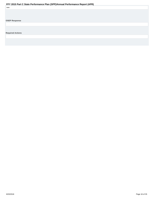<span id="page-15-0"></span>

| none                    |  |  |  |
|-------------------------|--|--|--|
|                         |  |  |  |
|                         |  |  |  |
|                         |  |  |  |
| <b>OSEP Response</b>    |  |  |  |
|                         |  |  |  |
|                         |  |  |  |
|                         |  |  |  |
| <b>Required Actions</b> |  |  |  |
|                         |  |  |  |
|                         |  |  |  |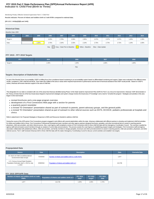# **Indicator 6: Child Find (Birth to Three) FFY 2015 Part C State Performance Plan (SPP)/Annual Performance Report (APR)**

Monitoring Priority: Effective General Supervision Part C / Child Find

**Results indicator: Percent of infants and toddlers birth to 3 with IFSPs compared to national data.**

### **(20 U.S.C. 1416(a)(3)(B) and 1442)**

| <b>Historical Data</b> |                                                                                  |       |       |       |       |       |       |       |       |       |       |
|------------------------|----------------------------------------------------------------------------------|-------|-------|-------|-------|-------|-------|-------|-------|-------|-------|
| Baseline Data: 2005    |                                                                                  |       |       |       |       |       |       |       |       |       |       |
| <b>FFY</b>             | 2004                                                                             | 2005  | 2006  | 2007  | 2008  | 2009  | 2010  | 2011  | 2012  | 2013  | 2014  |
| Target $\geq$          |                                                                                  |       | 2.25% | 2.78% | 2.30% | 2.35% | 2.37% | 2.37% | 2.37% | 1.20% | 1.30% |
| Data                   |                                                                                  | 2.25% | 2.75% | 2.34% | 2.33% | 2.19% | 2.75% | 2.73% | 2.72% | 1.19% | 1.00% |
|                        | Gray - Data Prior to Baseline<br>Key:<br>Yellow - Baseline<br>Blue - Data Update |       |       |       |       |       |       |       |       |       |       |

**FFY 2015 - FFY 2018 Targets**

| <b>FFY</b>    | 2015  | 2016  | 2017  | 2018  |
|---------------|-------|-------|-------|-------|
| Target $\geq$ | 1.40% | 1.50% | 1.80% | 1.90% |
|               |       | Key:  |       |       |

### **Targets: Description of Stakeholder Input**

As part of the Results Driven Accountability, OSEP is shifting focus from compliance-based monitoring to an accountability system based on differentiated monitoring and support. States were evaluated in five different area results, compliance, SSIP, child find and fiscal. Each state was notified of the area or areas which required improvement in performance and the level of technical assistance that OSEP would provide. Based on OSEP's review, Arkansas will receive intensive support in the area of child find.

This designation for our state is consistent with one of the areas that Arkansas identified during Phase I of the State Systemic Improvement Plan (SSIP) for Part C as a focus for improvement. Arkansas' SSIP demonstrates in the Theory of Action that one of the four broad areas integral to improvement strategies and system change involves the broad area of "Knowledge" and a need to "remarket the program." Strategies and activities in this area began in 2014 and include:

- revised brochures and a one-page program overview
- development of a First Connections Web page with a section for parents
- a quarterly parent newsletter
- a revised "EI Orientation" presentation shared as part of outreach to parents, parent advocacy groups, and the general public
- a revised "EI Orientation" presentation shared as part of outreach to other referral sources such as DCFS, DCCECE, pediatric professionals at hospitals and clinics

Refer to attachment A for Proposed Strategies in Response to DMS and Resources Needed to address child find.

During the course of the APR period, First Connections program engaged in joint effects with several stakeholders within the state. Arkansas collaborated with different partners to develop and implement child find activiti for infants and toddlers birth to three. First Connections Professional Development team members and other agency partners designed brochures, pamplets, and other promotional items to assist in reaching parents, physicians, child care providers, and other referral sources. Also, Lead Agency staff completed a review of First Connections birth to three child find data with the Interagency Coordination Council . The overview is guide agency staff and and assist council members through an analysis of current data and procedures. This process assists the Lead Agency in establishing program targets and strategies. First Connections staff and agency associates collaborated with pediatricians offices, child care providers, and family members to design pamplets, brochures and other promotional items to assist in reaching parents, child care providers, physicians, and ot referral sources. Part C staff reviewed Arkansas birth to three child find data with the states Interagency Coordinating Council to discuss current activities and establish new targets.

### **Prepopulated Data**

| <b>Source</b>                                                                             | <b>Date</b> | <b>Description</b>                                   | <b>Data</b> | Overwrite Data |
|-------------------------------------------------------------------------------------------|-------------|------------------------------------------------------|-------------|----------------|
| SY 2015-16 Child Count/Educational<br><b>Environment Data Groups</b>                      | 7/14/2016   | Number of infants and toddlers birth to 3 with IFSPs | 1,977       |                |
| U.S. Census Annual State Resident<br>Population Estimates April 1, 2010 to July<br>1.2015 | 6/30/2016   | Population of infants and toddlers birth to 3        | 113.736     |                |

### **FFY 2015 SPP/APR Data**

| Number of infants and toddlers birth to 3 with | Population of infants and toddlers birth to 3 | <b>FFY 2014</b> | <b>FFY 2015</b> | <b>FFY 2015</b> |
|------------------------------------------------|-----------------------------------------------|-----------------|-----------------|-----------------|
| <b>IFSPs</b>                                   |                                               | Data*           | Target*         | Data            |
| 1.977                                          | 113.736                                       | 1.00%           | 1.40%           | 1.74%           |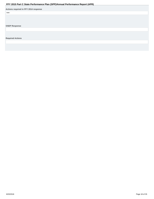<span id="page-17-0"></span>

|                                       | . . |  |
|---------------------------------------|-----|--|
| Actions required in FFY 2014 response |     |  |
| none                                  |     |  |
|                                       |     |  |
|                                       |     |  |
|                                       |     |  |
| <b>OSEP Response</b>                  |     |  |
|                                       |     |  |
|                                       |     |  |
|                                       |     |  |
| <b>Required Actions</b>               |     |  |
|                                       |     |  |
|                                       |     |  |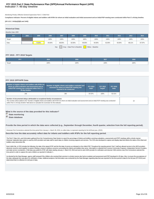# **Indicator 7: 45-day timeline FFY 2015 Part C State Performance Plan (SPP)/Annual Performance Report (APR)**

Monitoring Priority: Effective General Supervision Part C / Child Find

**Compliance indicator: Percent of eligible infants and toddlers with IFSPs for whom an initial evaluation and initial assessment and an initial IFSP meeting were conducted within Part C's 45-day timeline.**

### **(20 U.S.C. 1416(a)(3)(B) and 1442)**

| <b>Historical Data</b> |                                                            |        |        |        |        |        |        |        |        |        |        |  |
|------------------------|------------------------------------------------------------|--------|--------|--------|--------|--------|--------|--------|--------|--------|--------|--|
| Baseline Data: 2005    |                                                            |        |        |        |        |        |        |        |        |        |        |  |
| <b>FFY</b>             | 2004                                                       | 2005   | 2006   | 2007   | 2008   | 2009   | 2010   | 2011   | 2012   | 2013   | 2014   |  |
| Target                 |                                                            |        | 100%   | 100%   | 100%   | 100%   | 100%   | 100%   | 100%   | 100%   | 100%   |  |
| Data                   |                                                            | 75.80% | 84.00% | 88.00% | 82.00% | 99.00% | 94.00% | 92.00% | 93.00% | 88.11% | 87.97% |  |
|                        | Gray - Data Prior to Baseline<br>Key:<br>Yellow - Baseline |        |        |        |        |        |        |        |        |        |        |  |

# **FFY 2015 - FFY 2018 Targets**

| FFY    | 2015 | 2016 | 2017 | 2018 |
|--------|------|------|------|------|
| Target | 100% | 100% | 100% | 100% |
|        |      |      |      |      |

### **FFY 2015 SPP/APR Data**

| Number of eligible infants and toddlers with IFSPs for<br>whom an initial evaluation and assessment and an<br>initial IFSP meeting was conducted within Part C's<br>45-day timeline | Number of eligible infants and toddlers evaluated and<br>assessed for whom an initial IFSP meeting was<br>required to be conducted                                           | <b>FFY 2014</b><br>Data* | <b>FFY 2015</b><br>Target* | <b>FFY 2015</b><br>Data |
|-------------------------------------------------------------------------------------------------------------------------------------------------------------------------------------|------------------------------------------------------------------------------------------------------------------------------------------------------------------------------|--------------------------|----------------------------|-------------------------|
| 246                                                                                                                                                                                 | 290                                                                                                                                                                          | 92.41%                   |                            |                         |
| Number of documented delays attributable to exceptional family circumstances<br>within Part C's 45-day timeline" field above to calculate the numerator for this indicator.         | This number will be added to the "Number of eligible infants and toddlers with IFSPs for whom an initial evaluation and assessment and an initial IFSP meeting was conducted |                          |                            |                         |

### **What is the source of the data provided for this indicator?**

- **C** State monitoring
- **State database**

### **Provide the time period in which the data were collected (e.g., September through December, fourth quarter, selection from the full reporting period).**

Arkansas First Connections selected the time period from January 1- March 30, 2016, to collect data to represent reporting for the full fiscal year. (2015)

**Describe how the data accurately reflect data for infants and toddlers with IFSPs for the full reporting period.**

The Part C Data Unit, used information gathered from the Comprehensive Data System to report the percentage of infants and toddlers receiving evaluations, assessments and IFSP meetings within a timely manner. Arkansas' statewide data system is used by AEIS providers and state staff to report data on children receiving supports and services. The CDS was developed to capture and display data that reflects the status of the infant toddlers early intervention file.

Each child's file, in CDS includes the following: the date of the signed IFSP and the first date of service as indicated on the childs IFSP. Thoughout the reporting period, Part C staff are allowed access to the AEIS provi electronic record to work together to assist in finding a means to address concerns surrounding the infants and toddlers they serve. Information is collected from License Community Programs, Independent Service Providers, and state service coordanitors. Child data was pulled for IFSP, with dates starting January 1- March 30, 2016 and sent to each AEIS provider for verification and returned. With extreme care,First Connections selected this time period in order to capture the same children as reported in Indicator 1 .

As directed by the Data Manager, agency staff reviewed if the children who received their services in a timely manner also had an evalution and assessment and IFSP developed in 45 days. Also, to ensure the accurateness of the data; adequate time was given for verification of data. Additonal analysis of all information was conducted by the Data Manager regarding data that was reported for this time period to data for the full year (FFY2015) determined that it is reflective of a full year of data.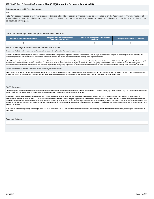### <span id="page-19-0"></span>**Actions required in FFY 2014 response**

### none

Note: Any actions required in last year's response that are related to correction of findings should be responded to on the "Correction of Previous Findings of Noncompliance" page of this indicator. If your State's only actions required in last year's response are related to findings of noncompliance, a text field will not be displayed on this page.

### **Correction of Findings of Noncompliance Identified in FFY 2014**

| <b>Findings of Noncompliance Identified</b> | <b>Findings of Noncompliance Verified as</b><br><b>Corrected Within One Year</b> |  | <b>Findings Not Yet Verified as Corrected</b> |  |
|---------------------------------------------|----------------------------------------------------------------------------------|--|-----------------------------------------------|--|
|                                             |                                                                                  |  |                                               |  |

### **FFY 2014 Findings of Noncompliance Verified as Corrected**

Describe how the State verified that the source of noncompliance is correctly implementing the regulatory requirements

Upon the identification of noncompliance, the AEIS provider is issued a written finding and are required to correct the noncompliance within 90 days, but in all cases in one year. At the subsequent review, monitoring staff examined a percentage of records to ensure that all infants and toddlers received evaluations, assessments and IFSP meetings in the required time frame.

Also, Arkansas monitoring staff reviewed a percentage of updated filesfrom each local provider to determine if subsequent infants and toddlers had an evaluation and an IFSP within the 45-day timeframe. Part C staff complet this process in accordance with the guidance provided in OSEP Memorandum 09-02, dated October 17, 2008 (OSEP Memo 09-02). The Lead Agency determined that each EIS provider, for whom data formerly showed noncompliance has corrected the noncompliance and is correctly implementing the regulatory requirement for infants and toddlers who receive evalutions, assessments and IFSP meetings within the required time frame.

Describe how the State verified that each individual case of noncompliance was corrected

First Connections monitoring staff examined individual child records of each infant or toddler who did not have an evaluation, assessment and IFSP meeting within 45 days. The review of records for FFY 2014 indicated that children who had not received evaluations ,assessments and timely IFSP meetings indeed had subsequently completed evaluation and the IFSP meeting was conducted, although late.

### **OSEP Response**

The State reported that it used data from a State database to report on this indicator. The State further reported that it did not use data for the full reporting period (July 1, 2015-June 30, 2016). The State described ho period in which the data were collected accurately reflects data for infants and toddlers with IFSPs for the full reporting period.

Because the State reported less than 100% compliance for FFY 2015, the State must report on the status of correction of noncompliance identified in FFY 2015 for this indicator. When reporting on the correction of noncompliance, the State must report, in the FFY 2016 SPP/APR, that it has verified that each EIS program or provider with noncompliance identified in FFY 2015 for this indicator: (1) is correctly implementing the specific regulatory requirements (i.e., achieved 100% compliance) based on a review of updated data such as data subsequently collected through on-site monitoring or a State data system; and (2) has corrected each individual case of noncompliance, unless the child is no longer within the jurisdiction of the EIS program or provider, consistent with OSEP Memo 09-02. In the FFY 2016 SPP/APR, the State must describe the specific actions that were taken to verify the correction.

If the State did not identify any findings of noncompliance in FFY 2015, although its FFY 2015 data reflect less than 100% compliance, provide an explanation of why the State did not identify any findings of noncompliance FFY 2015.

### **Required Actions**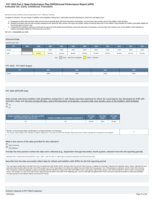# **Indicator 8A: Early Childhood Transition FFY 2015 Part C State Performance Plan (SPP)/Annual Performance Report (APR)**

### Monitoring Priority: Effective General Supervision Part C / Effective Transition

**Compliance indicator: The percentage of toddlers with disabilities exiting Part C with timely transition planning for whom the Lead Agency has:**

- **A. Developed an IFSP with transition steps and services at least 90 days, and at the discretion of all parties, not more than nine months, prior to the toddler's third birthday;**
- **Notified (consistent with any opt-out policy adopted by the State) the SEA and the LEA where the toddler resides at least 90 days prior to the toddler's third birthday for toddlers potentially eligible for B. Part B preschool services; and**
- C. Conducted the transition conference held with the approval of the family at least 90 days, and at the discretion of all parties, not more than nine months, prior to the toddler's third birthday for **toddlers potentially eligible for Part B preschool services.**

**(20 U.S.C. 1416(a)(3)(B) and 1442)**

### **Historical Data**

### Baseline Data: 2005

| <b>FFY</b> | 2004 | 2005   | 2006   | 2007   | 2008   | 2009   | 2010   | 2011   | 2012   | 2013   | 2014   |
|------------|------|--------|--------|--------|--------|--------|--------|--------|--------|--------|--------|
| Target     |      |        | 100%   | 100%   | 100%   | 100%   | 100%   | 100%   | 100%   | 100%   | 100%   |
| Data       |      | 54.00% | 99.00% | 55.00% | 88.00% | 96.00% | 91.00% | 90.00% | 96.00% | 85.14% | 92.02% |

Key: Gray – Data Prior to Baseline Yellow – Baseline

### **FFY 2015 - FFY 2018 Targets**

| <b>CONTINUES</b> | 2015 | 2016        | 2017 | 2018 |
|------------------|------|-------------|------|------|
| Target           | 100% | w<br>$\sim$ | 100% | 100% |

# **FFY 2015 SPP/APR Data**

**Data include only those toddlers with disabilities exiting Part C with timely transition planning for whom the Lead Agency has developed an IFSP with transition steps and services at least 90 days, and at the discretion of all parties, not more than nine months, prior to the toddler's third birthday.**  $\binom{2}{1}$  Yes

 $\bigcap_{\text{No}}$ 

| Number of children exiting Part C who have an IFSP | Number of toddlers with disabilities exiting Part C | <b>FFY 2014</b> | <b>FFY 2015</b> | <b>FFY 2015</b> |
|----------------------------------------------------|-----------------------------------------------------|-----------------|-----------------|-----------------|
| with transition steps and services                 |                                                     | Data*           | Target*         | <b>Data</b>     |
| 211                                                | 221                                                 | 92.02%          | 100%            | 95.48%          |

| $\mid$ Number of documented delavs attributable to exceptional family circumstances<br>This number will be added to the "Number of children exiting Part C who have an IFSP with transition steps and services" field to calculate the numerator for this indicator. |  |
|----------------------------------------------------------------------------------------------------------------------------------------------------------------------------------------------------------------------------------------------------------------------|--|

### **What is the source of the data provided for this indicator?**

State monitoring

### **Provide the time period in which the data were collected (e.g., September through December, fourth quarter, selection from the full reporting period).**

Arkansas Part C selected the time period from July 1, 2015 – June 30, 2016 to collect data to represent reporting for the full fiscal year 2015.

### **Describe how the data accurately reflect data for infants and toddlers with IFSPs for the full reporting period.**

The Lead Agency pulled data for indicator 8 from the Comprehensive Data System (CDS). Arkansas Data Unit uses the inquiry process to validate the information collected in the statewide system. Data is collected from each early intervention provider within the state. Each AEIS provider uses CDS to report data on the infants and toddlers they serve within their local program. Also, CDS generates an electronic record for each child. Arkansas First Connections created the database to capture and display data that indicates the status of the infant and toddlers record. Lead Agency staff are given access to the AEIS provider file in order to assist in resolving d issues. CDS includes, as a part of the child's record, steps and services listed on the child's IFSP. Beginning July 1-June 30, 2016 data was gathered from IFSP's and sent to each AEIS provider for review and verification. The data reported for this indicator reflects the full year (FFY2015).

State database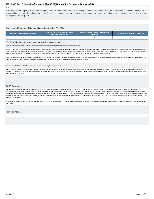### <span id="page-21-0"></span>none

Note: Any actions required in last year's response that are related to correction of findings should be responded to on the "Correction of Previous Findings of Noncompliance" page of this indicator. If your State's only actions required in last year's response are related to findings of noncompliance, a text field will not be displayed on this page.

### **Correction of Findings of Noncompliance Identified in FFY 2014**

| Findings of Noncompliance Identified | <b>Findings of Noncompliance Verified as</b><br><b>Corrected Within One Year</b> | <b>Findings of Noncompliance Subsequently</b><br>Corrected | <b>Findings Not Yet Verified as Corrected</b> |  |
|--------------------------------------|----------------------------------------------------------------------------------|------------------------------------------------------------|-----------------------------------------------|--|
|                                      |                                                                                  |                                                            |                                               |  |

### **FFY 2014 Findings of Noncompliance Verified as Corrected**

Describe how the State verified that the source of noncompliance is correctly implementing the regulatory requirements

Part C Quality Assurance staff issued detailed letters to AEIS providers notificating them of their non- compliance. The letter informed local providers of their scores in relations to transition steps. AEIS provider monit letters quoted the federal regulations and informed them that they have to ensure that all children receive timely transition planning and that they must correct all noncompliance. Procedures outlined in the Arkansas' moni manual gives the providers 90 days to correct identified noncompliance, however, correction is required to be made no later than one year from the date of notification.

After the designated time period, for each provider previously found out of compliance, the quality assurance staff select a number of new records for review to ensure that the provider is in compliance with these new reco This verification process of reviewing new records ensures that the provider is correctly implementing the requlatory requirements.

Describe how the State verified that each individual case of noncompliance was corrected

First Connections verification procedures indicates that monitoring staff conducts the process of verifying correction of noncompliance for each provider that is cited for noncompliance. The process includes an analysis of records for toddlers who did not receive timely transition planning and were not in compliance with requirements to verify that the children received transition services (steps) although late, unless that child is no longe the jurisdiction of the program.

### **OSEP Response**

Because the State reported less than 100% compliance for FFY 2015, the State must report on the status of correction of noncompliance identified in FFY 2015 for this indicator. When reporting on the correction of noncompliance, the State must report, in the FFY 2016 SPP/APR, that it has verified that each EIS program or provider with noncompliance identified in FFY 2015 for this indicator: (1) is correctly implementing the specific regulatory requirements (i.e., achieved 100% compliance) based on a review of updated data such as data subsequently collected through on-site monitoring or a State data system; and (2) has corrected each individual case of noncompliance, unless the child is no longer within the jurisdiction of the EIS program or provider, consistent with OSEP Memo 09-02. In the FFY 2016 SPP/APR, the State must describe the specific actions that were taken to verify the correction.

If the State did not identify any findings of noncompliance in FFY 2015, although its FFY 2015 data reflect less than 100% compliance, provide an explanation of why the State did not identify any findings of noncompliance FFY 2015.

### **Required Actions**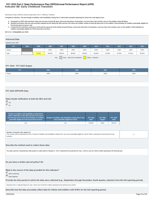# **Indicator 8B: Early Childhood Transition FFY 2015 Part C State Performance Plan (SPP)/Annual Performance Report (APR)**

### Monitoring Priority: Effective General Supervision Part C / Effective Transition

**Compliance indicator: The percentage of toddlers with disabilities exiting Part C with timely transition planning for whom the Lead Agency has:**

- **A. Developed an IFSP with transition steps and services at least 90 days, and at the discretion of all parties, not more than nine months, prior to the toddler's third birthday;**
- **Notified (consistent with any opt-out policy adopted by the State) the SEA and the LEA where the toddler resides at least 90 days prior to the toddler's third birthday for toddlers potentially eligible for B. Part B preschool services; and**
- C. Conducted the transition conference held with the approval of the family at least 90 days, and at the discretion of all parties, not more than nine months, prior to the toddler's third birthday for **toddlers potentially eligible for Part B preschool services.**

**(20 U.S.C. 1416(a)(3)(B) and 1442)**

### **Historical Data**

### Baseline Data: 2005

| <b>FFY</b> | 2004 | 2005   | 2006   | 2007   | 2008   | 2009   | 2010   | 2011   | 2012   | 2013   | 2014   |
|------------|------|--------|--------|--------|--------|--------|--------|--------|--------|--------|--------|
| Target     |      |        | 100%   | 100%   | 100%   | 100%   | 100%   | 100%   | 100%   | 100%   | 100%   |
| Data       |      | 79.00% | 96.40% | 89.00% | 88.00% | 95.00% | 96.00% | 91.00% | 97.00% | 87.61% | 95.82% |

Key: Gray – Data Prior to Baseline Yellow – Baseline

### **FFY 2015 - FFY 2018 Targets**

| ccv<br>n e s | 2015 | 2016 | 2017 | 2018 |
|--------------|------|------|------|------|
| Target       | 100% | 100% | 100% | 100% |

# **FFY 2015 SPP/APR Data**

**Data include notification to both the SEA and LEA**

 Yes  $C_{N_0}$ 

| Number of toddlers with disabilities exiting Part C<br>where notification to the SEA and LEA occurred at<br>least 90 days prior to their third birthday for toddlers<br>potentially eligible for Part B preschool services | Number of toddlers with disabilities exiting Part C who<br>were potentially eligible for Part B | <b>FFY 2014</b><br>Data* | <b>FFY 2015</b><br>Target* | <b>FFY 2015</b><br>Data |
|----------------------------------------------------------------------------------------------------------------------------------------------------------------------------------------------------------------------------|-------------------------------------------------------------------------------------------------|--------------------------|----------------------------|-------------------------|
| 218                                                                                                                                                                                                                        | 221                                                                                             | 95.82%                   | 100%                       | 98.64%                  |

| Number of parents who opted out<br>This number will be subtracted from the "Number of toddlers with disabilities exiting Part C who were potentially eligible for Part B" field to calculate the denominator for this<br>indicator. |  |
|-------------------------------------------------------------------------------------------------------------------------------------------------------------------------------------------------------------------------------------|--|

### **Describe the method used to collect these data**

The state used the Comprehiesive Data System to collect data for Indicator 8. Part C selected the time period from July 1, 2015 to June 30, 2016 to reflect reporting for the full fiscal year.

**Do you have a written opt-out policy? No**

### **What is the source of the data provided for this indicator?**

State monitoring

State database

**Provide the time period in which the data were collected (e.g., September through December, fourth quarter, selection from the full reporting period).**

Arkansas Part C collected data from July 1,2015-June 30,2016 to reflect reporting for the full fiscal year (2015).

**Describe how the data accurately reflect data for infants and toddlers with IFSPs for the full reporting period.**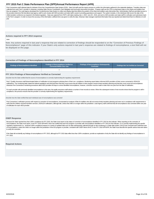<span id="page-23-0"></span>First Connections staff collected data for Indicator 8 from the Comprehensive Data System (CDS). Data Unit staff used the inquiry process to confirm the information gathered in the statewide database. Transition data was collected from each Part C provider in Arkansas, including State Service Coordinators, their delegates and local early intervention providers. Program staff use the CDS to enter/report data on the infants and toddlers that they are assigned. The Lead Agency developed the Comprehensive Data System to collect and display data that reflects the position of the infant and toddlers early intervention files. Administrative Staff are permitted acce the providers electronic file that allows lead agency staff to work closely with AEIS providers and state staff to assist in providing guaindance and support. The system includes, in the individual child record, the date o childs transition conference as required in the federal regulation. Data was captured from IFSP's with dates starting July 1, 2015- June 30, 2016, and sent to AEIS providers and state staff for verfication and submission b to the Part C program. In order to ensure the accuracy of the information; sufficient time was given to verify the data. Arkansas' data manager exaimined information that was reported and determined that it is reflective o year.

### **Actions required in FFY 2014 response**

### none

Note: Any actions required in last year's response that are related to correction of findings should be responded to on the "Correction of Previous Findings of Noncompliance" page of this indicator. If your State's only actions required in last year's response are related to findings of noncompliance, a text field will not be displayed on this page.

### **Correction of Findings of Noncompliance Identified in FFY 2014**

| <b>Findings of Noncompliance Verified as</b><br>Findings of Noncompliance Identified<br><b>Corrected Within One Year</b> |  | <b>Findings of Noncompliance Subsequently</b><br><b>Corrected</b> | <b>Findings Not Yet Verified as Corrected</b> |  |
|--------------------------------------------------------------------------------------------------------------------------|--|-------------------------------------------------------------------|-----------------------------------------------|--|
|                                                                                                                          |  |                                                                   |                                               |  |

### **FFY 2014 Findings of Noncompliance Verified as Corrected**

Describe how the State verified that the source of noncompliance is correctly implementing the regulatory requirements

Part C Quality Assurance staff disseminated letters of notification to local programs advising them of their non- compliance. Monitoring report letters informed AEIS providers of their scores connected to SEA/LEA notifications. The monitoring letter stated the federal regulations and informed them that they must ensure that all children in their program receive timely transition planning and that they must correct all noncompliance. Arkansas First Connections monitoring procedures allow AEIS providers 90 days to correct identified noncompliance, however, correction must be made no later than one year from the date of notification.

For each provider with previously identified noncompliance in this area, the quality assurance staff selects a number of new records to review. When this subsequent review of new records shows that the program is still in compliance, this process ensures that the provider is correctly implementing the regulatory requirements.

Describe how the State verified that each individual case of noncompliance was corrected

First Connections' verification process with respect to correction of noncompliance, incorporated an analysis of files for toddlers who did not receive timely transition planning and were not in compliance with requirement verify that the children received transition services (SEA/LEA notification) although late, unless that child is no longer within the jurisdiction. Lead Agency staff confirmed that all noncompliance was corrected within on of notification for each AEIS provider.

### **OSEP Response**

Because the State reported less than 100% compliance for FFY 2015, the State must report on the status of correction of noncompliance identified in FFY 2015 for this indicator. When reporting on the correction of noncompliance, the State must report, in the FFY 2016 SPP/APR, that it has verified that each EIS program or provider with noncompliance identified in FFY 2015 for this indicator: (1) is correctly implementing the specific regulatory requirements (i.e., achieved 100% compliance) based on a review of updated data such as data subsequently collected through on-site monitoring or a State data system; and (2) has corrected each individual case of noncompliance, unless the child is no longer within the jurisdiction of the EIS program or provider, consistent with OSEP Memo 09-02. In the FFY 2016 SPP/APR, the State must describe the specific actions that were taken to verify the correction.

If the State did not identify any findings of noncompliance in FFY 2015, although its FFY 2015 data reflect less than 100% compliance, provide an explanation of why the State did not identify any findings of noncompliance FFY 2015.

### **Required Actions**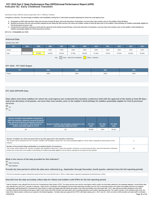# **Indicator 8C: Early Childhood Transition FFY 2015 Part C State Performance Plan (SPP)/Annual Performance Report (APR)**

### Monitoring Priority: Effective General Supervision Part C / Effective Transition

**Compliance indicator: The percentage of toddlers with disabilities exiting Part C with timely transition planning for whom the Lead Agency has:**

- **A. Developed an IFSP with transition steps and services at least 90 days, and at the discretion of all parties, not more than nine months, prior to the toddler's third birthday;**
- **Notified (consistent with any opt-out policy adopted by the State) the SEA and the LEA where the toddler resides at least 90 days prior to the toddler's third birthday for toddlers potentially eligible for B. Part B preschool services; and**
- C. Conducted the transition conference held with the approval of the family at least 90 days, and at the discretion of all parties, not more than nine months, prior to the toddler's third birthday for **toddlers potentially eligible for Part B preschool services.**

**(20 U.S.C. 1416(a)(3)(B) and 1442)**

### **Historical Data**

### Baseline Data: 2005

| <b>FFY</b> | 2004 | 2005   | 2006   | 2007   | 2008   | 2009   | 2010   | 2011   | 2012   | 2013   | 2014   |
|------------|------|--------|--------|--------|--------|--------|--------|--------|--------|--------|--------|
| Target     |      |        | 100%   | 100%   | 100%   | 100%   | 100%   | 100%   | 100%   | 100%   | 100%   |
| Data       |      | 87.00% | 44.00% | 55.00% | 57.00% | 86.00% | 87.00% | 76.00% | 87.00% | 86.28% | 83.59% |

Key: Gray – Data Prior to Baseline Yellow – Baseline

### **FFY 2015 - FFY 2018 Targets**

| 2015<br><b>CCV</b><br>. |      | 2016 | 2017 | 2018 |  |
|-------------------------|------|------|------|------|--|
| Target                  | 100% | 100% | 100% | 100% |  |

### **FFY 2015 SPP/APR Data**

**Data reflect only those toddlers for whom the Lead Agency has conducted the transition conference held with the approval of the family at least 90 days, and at the discretion of all parties, not more than nine months, prior to the toddler's third birthday for toddlers potentially eligible for Part B preschool services**

# Yes

 $C_{N0}$ 

| Number of toddlers with disabilities exiting Part C<br>where the transition conference occurred at least 90<br>days, and at the discretion of all parties at least nine<br>months prior to the toddler's third birthday for<br>toddlers potentially eligible for Part B | Number of toddlers with disabilities exiting Part C who<br>were potentially eligible for Part B | <b>FFY 2014</b><br>Data* | <b>FFY 2015</b><br>Target* | <b>FFY 2015</b><br>Data |
|-------------------------------------------------------------------------------------------------------------------------------------------------------------------------------------------------------------------------------------------------------------------------|-------------------------------------------------------------------------------------------------|--------------------------|----------------------------|-------------------------|
| 142                                                                                                                                                                                                                                                                     | 221                                                                                             | 83.59%                   | 100%                       | 88.24%                  |

| Number of toddlers for whom the parent did not provide approval for the transition conference<br>This number will be subtracted from the "Number of toddlers with disabilities exiting Part C who were potentially eligible for Part B" field to calculate the denominator for this<br>indicator.                                                                                                                                      |    |
|----------------------------------------------------------------------------------------------------------------------------------------------------------------------------------------------------------------------------------------------------------------------------------------------------------------------------------------------------------------------------------------------------------------------------------------|----|
| Number of documented delays attributable to exceptional family circumstances<br>This number will be added to the "Number of toddlers with disabilities exiting Part C where the transition conference occurred at least 90 days, and at the discretion of all parties<br>at least nine months prior to the toddler's third birthday for toddlers potentially eligible for Part B" field to calculate the numerator for this indicator. | 53 |

### **What is the source of the data provided for this indicator?**

State monitoring

State database

**Provide the time period in which the data were collected (e.g., September through December, fourth quarter, selection from the full reporting period).**

The First Connections program selected the period of time from June 30,2015-July 1, 2016, to collect data to represent reporting for the full fiscal year. (2015)

### **Describe how the data accurately reflect data for infants and toddlers with IFSPs for the full reporting period.**

Data for Indicator 8 was collected from the from the Comprehensive Data System (CDS). The inquiry process was used by Lead Agency staff to confirm the information gathered in the statewide datebase. Annual Report data was collected from each Part C provider in Arkansas . State Service Coordinators, their delegates and local early intervention providers use the CDS to enter/report data on the infants and toddlers that they are assigned. Administrative staff developed the Comprehensive Data System to collect and display data that reflects the position of the infant and toddlers early intervention files. Part C' data staff are permitted admittance to the AE providers electronic file that allows lead agency staff to work closely with AEIS providers and state staff to aid in providing guaindance and support regarding data enty. The system includes, in the individual child recor date of the childs transition conference as required in the federal regulation. Transition data was captured from IFSP's with dates starting July 1, 2015- June 30, 2016, and sent to AEIS providers and state staff for verfi 8/20/2018 Page 25 of 35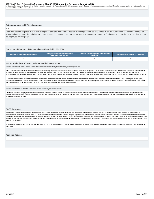# <span id="page-25-0"></span>FFY 2015 Part C State Performance Plan (SPP)/Annual Performance Report (APR)<br>and submission back to the Data unit. In an effort to ensure the accuracy of the information; sufficient time was given to verify the data. Arkan

determined that it is reflective of a full year.

### **Actions required in FFY 2014 response**

### none

Note: Any actions required in last year's response that are related to correction of findings should be responded to on the "Correction of Previous Findings of Noncompliance" page of this indicator. If your State's only actions required in last year's response are related to findings of noncompliance, a text field will not be displayed on this page.

### **Correction of Findings of Noncompliance Identified in FFY 2014**

| <b>Findings of Noncompliance Verified as</b><br>Findings of Noncompliance Identified<br><b>Corrected Within One Year</b> |  | <b>Findings of Noncompliance Subsequently</b><br>Corrected | <b>Findings Not Yet Verified as Corrected</b> |  |
|--------------------------------------------------------------------------------------------------------------------------|--|------------------------------------------------------------|-----------------------------------------------|--|
|                                                                                                                          |  |                                                            |                                               |  |

### **FFY 2014 Findings of Noncompliance Verified as Corrected**

Describe how the State verified that the source of noncompliance is correctly implementing the regulatory requirements

First Connections monitoring personel sent notification letters to early intervention service providers advising them of their non- compliance. The notification letter informed them of their status in relation to timely tr conferences. Program notification letters referenced the federal regulations and informed them that they have to ensure that all children receive timely transition planning and the requirments around correcting all noncompliance. Lead Agency procedures give local providers 90 days to correct identified noncompliance, however, correction must be made no later than one year from the date of notification to the early intervention provid

A process was put in place for providers who were not previously in full compliance with holding transition conferences for children at least 90 days before the toddler's third birthday. During a subsequent review, quality assurance staff reviewed a number of new records to see if the transition conferences for these new toddlers were held within the correct time period. If there were no additional instances of noncompliances in these record the state viewed this as an indication that the program was correctly implementing the regulatory requirements.

Describe how the State verified that each individual case of noncompliance was corrected

The Part C process of verifying correction of noncompliance, involved a review of records for toddlers who did not receive timely transition planning and were not in compliance with requirements to verify that the children received transition services (transition conference) although late, unless that child is no longer within the jurisdiction of the program. First Connections staff certified that all noncompliance was corrected within one y notification to the local provider.

### **OSEP Response**

Because the State reported less than 100% compliance for FFY 2015, the State must report on the status of correction of noncompliance identified in FFY 2015 for this indicator. When reporting on the correction of noncompliance, the State must report, in the FFY 2016 SPP/APR, that it has verified that each EIS program or provider with noncompliance identified in FFY 2015 for this indicator: (1) is correctly implementing the specific regulatory requirements (i.e., achieved 100% compliance) based on a review of updated data such as data subsequently collected through on-site monitoring or a State data system; and (2) has corrected each individual case of noncompliance, unless the child is no longer within the jurisdiction of the EIS program or provider, consistent with OSEP Memo 09-02. In the FFY 2016 SPP/APR, the State must describe the specific actions that were taken to verify the correction.

If the State did not identify any findings of noncompliance in FFY 2015, although its FFY 2015 data reflect less than 100% compliance, provide an explanation of why the State did not identify any findings of noncompliance FFY 2015.

### **Required Actions**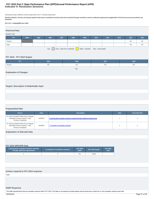# **Indicator 9: Resolution Sessions FFY 2015 Part C State Performance Plan (SPP)/Annual Performance Report (APR)**

Monitoring Priority: Effective General Supervision Part C / General Supervision

**Results indicator: Percent of hearing requests that went to resolution sessions that were resolved through resolution session settlement agreements (applicable if Part B due process procedures are adopted).**

# **(20 U.S.C. 1416(a)(3)(B) and 1442)**

# **Historical Data**

| <b>Baseline Data:</b>                                                        |      |      |      |      |      |      |      |      |      |       |       |
|------------------------------------------------------------------------------|------|------|------|------|------|------|------|------|------|-------|-------|
| <b>FFY</b>                                                                   | 2004 | 2005 | 2006 | 2007 | 2008 | 2009 | 2010 | 2011 | 2012 | 2013  | 2014  |
| Target $\geq$                                                                |      |      |      |      |      |      |      |      |      | $0\%$ | $0\%$ |
| Data                                                                         |      |      |      |      |      |      |      |      |      | 0%    | 0%    |
| Gray - Data Prior to Baseline   Yellow - Baseline Blue - Data Update<br>Key: |      |      |      |      |      |      |      |      |      |       |       |

# **FFY 2015 - FFY 2018 Targets**

| <b>FFY</b>    | 2015 | 2016 | 2017 | 2018  |
|---------------|------|------|------|-------|
| Target $\geq$ | 0%   | 0%   | 0%   | $0\%$ |
|               |      | Key  |      |       |

# **Explanation of Changes**

# **Targets: Description of Stakeholder Input**

# **Prepopulated Data**

| Source                                                                                                 | <b>Date</b> | <b>Description</b>                                                       | <b>Data</b> | <b>Overwrite Data</b> |
|--------------------------------------------------------------------------------------------------------|-------------|--------------------------------------------------------------------------|-------------|-----------------------|
| SY 2015-16 EMAPS IDEA Part C Dispute<br>Resolution Survey; Section C: Due<br><b>Process Complaints</b> | 11/2/2016   | 3.1(a) Number resolution sessions resolved through settlement agreements | n           |                       |
| SY 2015-16 EMAPS IDEA Part C Dispute<br>Resolution Survey; Section C: Due<br><b>Process Complaints</b> | 11/2/2016   | 3.1 Number of resolution sessions                                        | n           |                       |

### **Explanation of Alternate Data**

### **FFY 2015 SPP/APR Data**

| 3.1(a) Number resolution sessions resolved<br>through settlement agreements | 3.1 Number of resolution sessions | <b>FFY 2014</b><br>Data* | FFY 2015 Target* | <b>FFY 2015</b><br><b>Data</b> |
|-----------------------------------------------------------------------------|-----------------------------------|--------------------------|------------------|--------------------------------|
|                                                                             |                                   | 0%                       | 0.00%            |                                |

# **Actions required in FFY 2014 response**

none

# **OSEP Response**

The State reported fewer than ten resolution sessions held in FFY 2015. The State is not required to provide targets until any fiscal year in which ten or more resolution sessions were held.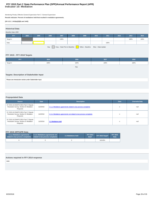# **Indicator 10: Mediation FFY 2015 Part C State Performance Plan (SPP)/Annual Performance Report (APR)**

Monitoring Priority: Effective General Supervision Part C / General Supervision

**Results indicator: Percent of mediations held that resulted in mediation agreements.**

### **(20 U.S.C. 1416(a)(3)(B) and 1442)**

| <b>Historical Data</b>                                                        |      |      |      |      |      |      |      |      |      |      |      |
|-------------------------------------------------------------------------------|------|------|------|------|------|------|------|------|------|------|------|
| Baseline Data: 2005                                                           |      |      |      |      |      |      |      |      |      |      |      |
| <b>FFY</b>                                                                    | 2004 | 2005 | 2006 | 2007 | 2008 | 2009 | 2010 | 2011 | 2012 | 2013 | 2014 |
| Target $\geq$                                                                 |      |      |      | 100% |      |      |      |      |      | 100% | 100% |
| Data                                                                          |      |      |      |      |      |      |      | 100% |      |      |      |
| Gray - Data Prior to Baseline<br>Yellow - Baseline Blue - Data Update<br>Key: |      |      |      |      |      |      |      |      |      |      |      |

# **FFY 2015 - FFY 2018 Targets**

| <b>FFY</b>    | 2015 | 2016 | 2017 | 2018 |
|---------------|------|------|------|------|
| Target $\geq$ | 100% | 100% | 100% | 100% |
|               |      | Key: |      |      |

# **Targets: Description of Stakeholder Input**

Please see introduction section,under Stakeholder Input.

# **Prepopulated Data**

| <b>Source</b>                                                                               | <b>Date</b> | <b>Description</b>                                                  | <b>Data</b> | <b>Overwrite Data</b> |
|---------------------------------------------------------------------------------------------|-------------|---------------------------------------------------------------------|-------------|-----------------------|
| SY 2015-16 EMAPS IDEA Part C Dispute<br>Resolution Survey; Section B: Mediation<br>Requests | 11/2/2016   | 2.1.a. iMediations agreements related to due process complaints     |             | null                  |
| SY 2015-16 EMAPS IDEA Part C Dispute<br>Resolution Survey; Section B: Mediation<br>Requests | 11/2/2016   | 2.1.b.i Mediations agreements not related to due process complaints |             | null                  |
| SY 2015-16 EMAPS IDEA Part C Dispute<br>Resolution Survey; Section B: Mediation<br>Requests | 11/2/2016   | 2.1 Mediations held                                                 | n           | null                  |

# **FFY 2015 SPP/APR Data**

| 2.1.a.i Mediations agreements<br>related to due process complaints | 2.1.b.i Mediations agreements not<br>related to due process complaints | 2.1 Mediations held | <b>FFY 2014</b><br>Data* | FFY 2015 Target* | <b>FFY 2015</b><br><b>Data</b> |
|--------------------------------------------------------------------|------------------------------------------------------------------------|---------------------|--------------------------|------------------|--------------------------------|
|                                                                    |                                                                        |                     |                          | 100.00%          |                                |

# **Actions required in FFY 2014 response**

none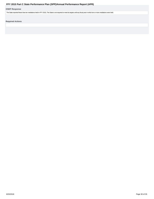# <span id="page-29-0"></span>**OSEP Response**

The State reported fewer than ten mediations held in FFY 2015. The State is not required to meet its targets until any fiscal year in which ten or more mediations were held.

**Required Actions**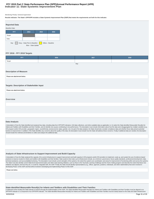# **Indicator 11: State Systemic Improvement Plan FFY 2015 Part C State Performance Plan (SPP)/Annual Performance Report (APR)**

### Monitoring Priority: General Supervision

**Results indicator: The State's SPP/APR includes a State Systemic Improvement Plan (SSIP) that meets the requirements set forth for this indicator.**

| <b>Reported Data</b>                                     |      |      |      |
|----------------------------------------------------------|------|------|------|
| <b>Baseline Data:</b>                                    |      |      |      |
| FFY                                                      | 2013 | 2014 | 2015 |
| Target                                                   |      |      |      |
| Data                                                     |      |      |      |
| Key: Gray – Data Prior to Baseline<br>Blue – Data Update |      |      |      |

### **FFY 2016 - FFY 2018 Targets**

| FFY    | 2016 | 2017 | 2018 |
|--------|------|------|------|
| Target |      |      |      |
|        |      | Key: |      |

### **Description of Measure**

Please see attachement below.

### **Targets: Description of Stakeholder Input**

Please see attachment below.

### **Overview**

### **Data Analysis**

A description of how the State identified and analyzed key data, including data from SPP/APR indicators, 618 data collections, and other available data as applicable, to: (1) select the State-identified Measurable Result(s Infants and Toddlers with Disabilities and their Families, and (2) identify root causes contributing to low performance. The description must include information about how the data were disaggregated by multiple variables EIS program and/or EIS provider, geographic region, race/ethnicity, socioeconomic status, gender, etc.) As part of its data analysis, the State should also consider compliance data and whether those data present potential barriers to improvement. In addition, if the State identifies any concerns about the quality of the data, the description must include how the State will address these concerns. Finally, if additional data are needed, the should include the methods and timelines to collect and analyze the additional data.

### **Analysis of State Infrastructure to Support Improvement and Build Capacity**

A description of how the State analyzed the capacity of its current infrastructure to support improvement and build capacity in EIS programs and/or EIS providers to implement, scale up, and sustain the use of evidence-base practices to improve results for infants and toddlers with disabilities and their families. State systems that make up its infrastructure include, at a minimum: governance, fiscal, quality standards, professional developme technical assistance, and accountability/monitoring. The description must include current strengths of the systems, the extent the systems are coordinated, and areas for improvement of functioning within and across the sys The State must also identify current State-level improvement plans and other early learning initiatives, such as Race to the Top-Early Learning Challenge and the Home Visiting program and describe the extent that these new initiatives are aligned, and how they are, or could be, integrated with, the SSIP. Finally, the State should identify representatives (e.g., offices, agencies, positions, individuals, and other stakeholders) that were invo developing Phase I of the SSIP and that will be involved in developing and implementing Phase II of the SSIP.

Please see below.

**State-identified Measurable Result(s) for Infants and Toddlers with Disabilities and Their Families**

A statement of the result(s) the State intends to achieve through the implementation of the SSIP. The State-identified Measurable Result(s) for Infants and Toddlers with Disabilities and their Families must be aligned to a SPP/APR indicator or a component of an SPP/APR indicator. The State-identified Measurable Result(s) for Infants and Toddlers with Disabilities and their Families must be clearly based on the Data and State Infrastructure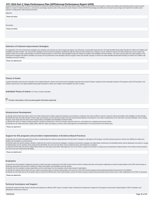# FFY 2015 Part C State Performance Plan (SPP)/Annual Performance Report (APR)<br>Analyses and must be a child- or family-level outcome in contrast to a process outcome. The State may select a single result (e.g., increase the

skills) or a cluster of related results (e.g., increase the percentage reported under child outcome B under Indicator 3 of the SPP/APR (knowledge and skills) and increase the percentage trend reported for families under Indicator 4 (helping their child develop and learn)).

| Statement                        |  |
|----------------------------------|--|
| Please see below.                |  |
|                                  |  |
| Description<br>Please see below. |  |
|                                  |  |
|                                  |  |

### **Selection of Coherent Improvement Strategies**

An explanation of how the improvement strategies were selected, and why they are sound, logical and aligned, and will lead to a measurable improvement in the State-identified Measurable Result(s) for Infants and Toddlers w Disabilities and their Families. The improvement strategies should include the strategies, identified through the Data and State Infrastructure Analyses, that are needed to improve the State infrastructure and to support E program and/or EIS provider implementation of evidence-based practices to improve the State-identified result(s) for infants and toddlers with disabilities and their families. The State must describe how implementation of improvement strategies will address identified root causes for low performance and ultimately build EIS program and/or EIS provider capacity to achieve the State-identified Measurable Result(s) for Infants and Toddlers with Disabilities and their Families.

Please see attachement.

### **Theory of Action**

A graphic illustration that shows the rationale of how implementing the coherent set of improvement strategies selected will increase the State's capacity to lead meaningful change in EIS programs and/or EIS providers, and achieve improvement in the State-identified Measurable Result(s) for Infants and Toddlers with Disabilities and their Families.

**Submitted Theory of Action: No Theory of Action Submitted** 

**Provide a description of the provided graphic illustration (optional)** 

### **Infrastructure Development**

(a) Specify improvements that will be made to the State infrastructure to better support EIS programs and providers to implement and scale up EBPs to improve results for infants and toddlers with disabilities and their fam (b) Identify the steps the State will take to further align and leverage current improvement plans and other early learning initiatives and programs in the State, including Race to the Top-Early Learning Challenge, Home Vi Program, Early Head Start and others which impact infants and toddlers with disabilities and their families.

(c) Identify who will be in charge of implementing the changes to infrastructure, resources needed, expected outcomes, and timelines for completing improvement efforts.

(d) Specify how the State will involve multiple offices within the State Lead Agency, as well as other State agencies and stakeholders in the improvement of its infrastructure.

Please see attachment

### **Support for EIS programs and providers Implementation of Evidence-Based Practices**

(a) Specify how the State will support EIS providers in implementing the evidence-based practices that will result in changes in Lead Agency, EIS program, and EIS provider practices to achieve the SIMR(s) for infants and toddlers with disabilities and their families.

(b) Identify steps and specific activities needed to implement the coherent improvement strategies, including communication strategies and stakeholder involvement; how identified barriers will be addressed; who will be in of implementing; how the activities will be implemented with fidelity; the resources that will be used to implement them; and timelines for completion.

(c) Specify how the State will involve multiple offices within the Lead Agency (and other State agencies such as the SEA) to support EIS providers in scaling up and sustaining the implementation of the evidence-based pract once they have been implemented with fidelity.

Please see attachement

### **Evaluation**

(a) Specify how the evaluation is aligned to the theory of action and other components of the SSIP and the extent to which it includes short-term and long-term objectives to measure implementation of the SSIP and its impac achieving measurable improvement in SIMR(s) for infants and toddlers with disabilities and their families.

(b) Specify how the evaluation includes stakeholders and how information from the evaluation will be disseminated to stakeholders.

(c) Specify the methods that the State will use to collect and analyze data to evaluate implementation and outcomes of the SSIP and the progress toward achieving intended improvements in the SIMR(s).

(d) Specify how the State will use the evaluation data to examine the effectiveness of the implementation; assess the State's progress toward achieving intended improvements; and to make modifications to the SSIP as necess

Please see attachment

### **Technical Assistance and Support**

Describe the support the State needs to develop and implement an effective SSIP. Areas to consider include: Infrastructure development; Support for EIS programs and providers implementation of EBP; Evaluation; and Stakeholder involvement in Phase II.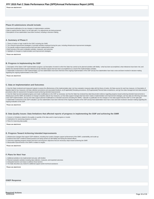Please see attachement

### **Phase III submissions should include:**

• Data-based justifications for any changes in implementation activities.

- Data to support that the State is on the right path, if no adjustments are being proposed. • Descriptions of how stakeholders have been involved, including in decision-making.
- 

### **A. Summary of Phase 3**

1. Theory of action or logic model for the SSIP, including the SiMR.

2. The coherent improvement strategies or principle activities employed during the year, including infrastructure improvement strategies.

3. The specific evidence-based practices that have been implemented to date.

4. Brief overview of the year's evaluation activities, measures, and outcomes.

5. Highlights of changes to implementation and improvement strategies.

Please see attachment.

### **B. Progress in Implementing the SSIP**

1. Description of the State's SSIP implementation progress: (a) Description of extent to which the State has carried out its planned activities with fidelity—what has been accomplished, what milestones have been met, and whether the intended timeline has been followed and (b) Intended outputs that have been accomplished as a result of the implementation activities.

2. Stakeholder involvement in SSIP implementation: (a) How stakeholders have been informed of the ongoing implementation of the SSIP and (b) How stakeholders have had a voice and been involved in decision-making regarding the ongoing implementation of the SSIP.

Please see attachment.

### **C. Data on Implementation and Outcomes**

1. How the State monitored and measured outputs to assess the effectiveness of the implementation plan: (a) How evaluation measures align with the theory of action, (b) Data sources for each key measure, (c) Description of baseline data for key measures, (d) Data collection procedures and associated timelines, (e) [If applicable] Sampling procedures, (f) [If appropriate] Planned data comparisons, and (g) How data management and data analysis procedures allow for assessment of progress toward achieving intended improvements

2. How the State has demonstrated progress and made modifications to the SSIP as necessary: (a) How the State has reviewed key data that provide evidence regarding progress toward achieving intended improvements to infrastructure and the SiMR, (b) Evidence of change to baseline data for key measures, (c) How data support changes that have been made to implementation and improvement strategies, (d) How data are informing next steps in the SSIP implementation, and (e) How data support planned modifications to intended outcomes (including the SIMR)—rationale or justification for the changes or how data support that the SSIP is on the right path 3. Stakeholder involvement in the SSIP evaluation: (a) How stakeholders have been informed of the ongoing evaluation of the SSIP and (b) How stakeholders have had a voice and been involved in decision-making regarding the ongoing evaluation of the SSIP

Please see attachment.

### **D. Data Quality Issues: Data limitations that affected reports of progress in implementing the SSIP and achieving the SIMR**

1. Concern or limitations related to the quality or quantity of the data used to report progress or results

2. Implications for assessing progress or results

3. Plans for improving data quality

Please see attachment.

### **E. Progress Toward Achieving Intended Improvements**

1. Infrastructure changes that support SSIP initiatives, including how system changes support achievement of the SiMR, sustainability, and scale-up

2. Evidence that SSIP's evidence-based practices are being carried out with fidelity and having the desired effects

3. Outcomes regarding progress toward short-term and long-term objectives that are necessary steps toward achieving the SIMR

4. Measurable improvements in the SIMR in relation to targets

Please see attachment.

### **F. Plans for Next Year**

1. Additional activities to be implemented next year, with timeline

2. Planned evaluation activities including data collection, measures, and expected outcomes

- 3. Anticipated barriers and steps to address those barriers
- 4. The State describes any needs for additional support and/or technical assistance

Please see attachment.

**OSEP Response**